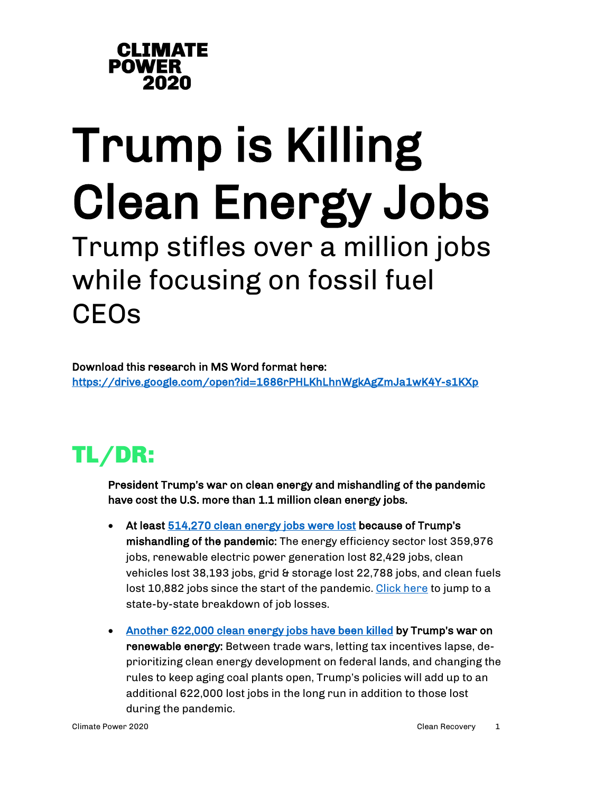

# Trump is Killing **Clean Energy Jobs**<br>Trump stifles over a million jobs

## while focusing on fossil fuel **CEOs**

<span id="page-0-0"></span>Download this research in MS Word format here: <https://drive.google.com/open?id=1686rPHLKhLhnWgkAgZmJa1wK4Y-s1KXp>

## TL/DR:

President Trump's war on clean energy and mishandling of the pandemic have cost the U.S. more than 1.1 million clean energy jobs.

- At leas[t 514,270 clean energy jobs were lost](https://e2.org/reports/clean-jobs-covid-economic-crisis-june-2020/) because of Trump's mishandling of the pandemic: The energy efficiency sector lost 359,976 jobs, renewable electric power generation lost 82,429 jobs, clean vehicles lost 38,193 jobs, grid & storage lost 22,788 jobs, and clean fuels lost 10,882 jobs since the start of the pandemic. Click here to jump to a state-by-state breakdown of job losses.
- [Another 622,000 clean energy jobs have been killed](https://medium.com/@CAPAction/the-trump-administrations-war-on-renewable-energy-has-cost-the-industry-600-000-jobs-59b22579133c) by Trump's war on renewable energy: Between trade wars, letting tax incentives lapse, deprioritizing clean energy development on federal lands, and changing the rules to keep aging coal plants open, Trump's policies will add up to an additional 622,000 lost jobs in the long run in addition to those lost during the pandemic.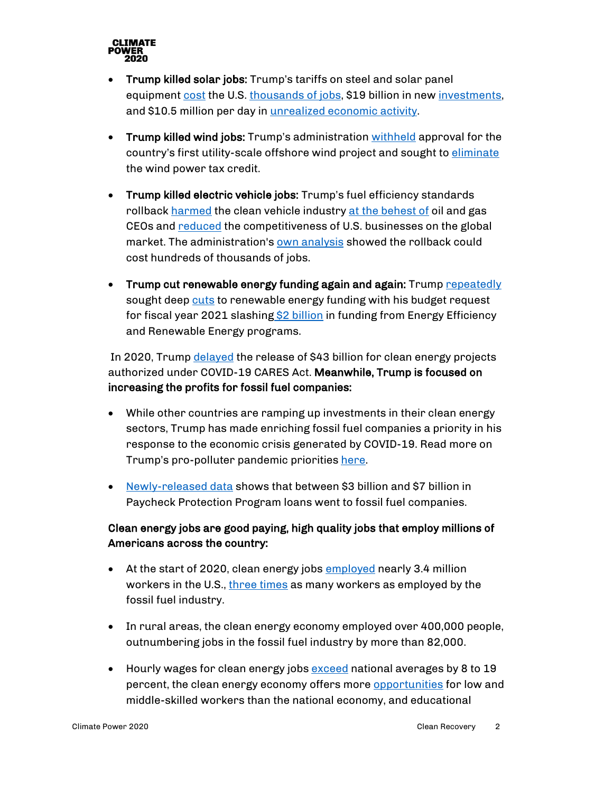

- Trump killed solar jobs: Trump's tariffs on steel and solar panel equipment [cost](https://e2.org/reports/clean-jobs-america-2019/) the U.S. [thousands of jobs,](https://www.thesolarfoundation.org/wp-content/uploads/2020/02/Solar-Jobs-Census-2018-1-1.pdf) \$19 billion in new [investments,](https://thehill.com/policy/energy-environment/472691-analysis-trump-solar-tariffs-cost-62k-us-jobs) and \$10.5 million per day in [unrealized economic activity.](https://thehill.com/policy/energy-environment/472691-analysis-trump-solar-tariffs-cost-62k-us-jobs)
- Trump killed wind jobs: Trump's administration [withheld](https://www.nbcnews.com/politics/politics-news/trump-s-windmill-hatred-worry-booming-industry-n1060206) approval for the country's first utility-scale offshore wind project and sought to [eliminate](https://www.reuters.com/article/us-usa-renewables-investment/u-s-clean-energy-investment-hits-new-record-despite-trump-administration-views-idUSKBN1ZF259) the wind power tax credit.
- Trump killed electric vehicle jobs: Trump's fuel efficiency standards rollback [harmed](https://www.nytimes.com/2020/03/30/climate/trump-fuel-economy.html) the clean vehicle industry [at the behest of](https://www.nytimes.com/2018/12/13/climate/cafe-emissions-rollback-oil-industry.html) oil and gas CEOs and [reduced](https://www.forbes.com/sites/energyinnovation/2019/08/07/trumps-clean-car-rollback-could-cost-up-to-400-billion-increase-transport-emissions-10/#3c41320b3b46) the competitiveness of U.S. businesses on the global market. The administration's [own analysis](https://www.washingtonpost.com/news/powerpost/paloma/the-energy-202/2019/04/02/the-energy-202-epa-s-own-adviser-finds-trump-s-rollback-of-car-rules-could-cost-jobs/5ca230f91b326b0f7f38f2d6/) showed the rollback could cost hundreds of thousands of jobs.
- Trump cut renewable energy funding again and again: Trump [repeatedly](https://www.nytimes.com/2017/05/23/climate/trump-budget-energy.html) sought deep [cuts](https://thehill.com/policy/energy-environment/482352-trump-budget-slashes-funding-for-epa-environmental-programs) to renewable energy funding with his budget request for fiscal year 2021 slashing \$2 billion in funding from Energy Efficiency and Renewable Energy programs.

In 2020, Trump [delayed](https://www.nytimes.com/2020/04/30/climate/clean-energy-loans-coronavirus-trump.html) the release of \$43 billion for clean energy projects authorized under COVID-19 CARES Act. Meanwhile, Trump is focused on increasing the profits for fossil fuel companies:

- While other countries are ramping up investments in their clean energy sectors, Trump has made enriching fossil fuel companies a priority in his response to the economic crisis generated by COVID-19. Read more on Trump's pro-polluter pandemic priorities [here.](https://www.climatepower2020.org/resources/pro-polluter-pandemic-priorities/)
- [Newly-released data](https://docs.google.com/spreadsheets/d/1wxD-8xw5VK78f-OIFDCuc1k9-wW4w28RqFCBHSuTkE4/edit?usp=sharing) shows that between \$3 billion and \$7 billion in Paycheck Protection Program loans went to fossil fuel companies.

#### Clean energy jobs are good paying, high quality jobs that employ millions of Americans across the country:

- At the start of 2020, clean energy jobs **employed** nearly 3.4 million workers in the U.S.[, three times](https://e2.org/wp-content/uploads/2020/04/E2-Clean-Jobs-America-2020.pdf) as many workers as employed by the fossil fuel industry.
- In rural areas, the clean energy economy [employed](https://e2.org/reports/clean-jobs-rural-america-2019/) over 400,000 people, outnumbering jobs in the fossil fuel industry by more than 82,000.
- Hourly wages for clean energy jobs  $\frac{\text{exceed}}{\text{ax}{\text{end}}}$  national averages by 8 to 19 percent, the clean energy economy offers more **opportunities** for low and middle-skilled workers than the national economy, and educational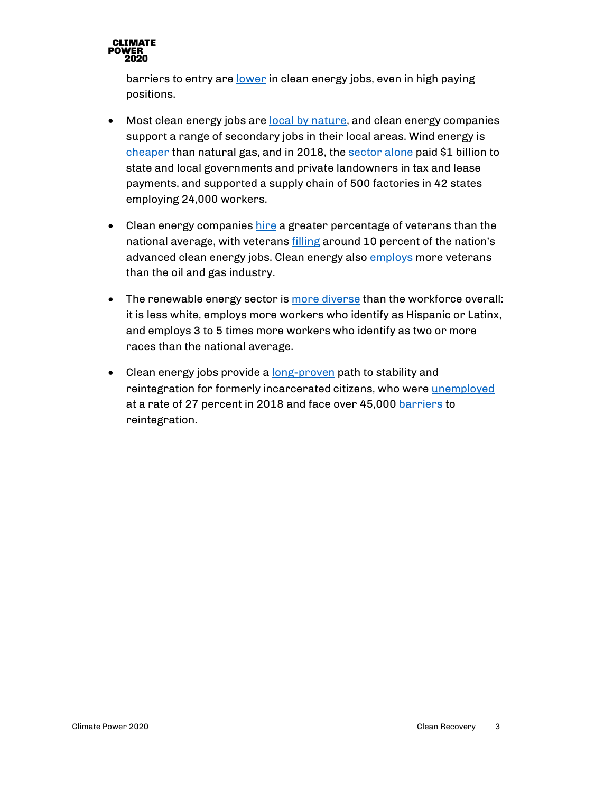

barriers to entry are [lower](https://www.brookings.edu/research/advancing-inclusion-through-clean-energy-jobs/) in clean energy jobs, even in high paying positions.

- Most clean energy jobs are [local by nature,](http://edfclimatecorps.org/nowhiringreport) and clean energy companies support a range of secondary jobs in their local areas. Wind energy is [cheaper](https://blogs.scientificamerican.com/plugged-in/wind-energy-is-one-of-the-cheapest-sources-of-electricity-and-its-getting-cheaper/) than natural gas, and in 2018, the [sector alone](https://www.aweablog.org/awea-annual-market-report-top-11-wind-power-trends-2018/) paid \$1 billion to state and local governments and private landowners in tax and lease payments, and supported a supply chain of 500 factories in 42 states employing 24,000 workers.
- Clean energy companies [hire](https://e2.org/wp-content/uploads/2020/04/E2-Clean-Jobs-America-2020.pdf) a greater percentage of veterans than the national average, with veterans *filling* around 10 percent of the nation's advanced clean energy jobs. Clean energy also [employs](https://e2.org/wp-content/uploads/2020/04/E2-Clean-Jobs-America-2020.pdf) more veterans than the oil and gas industry.
- The renewable energy sector is [more diverse](https://static1.squarespace.com/static/5a98cf80ec4eb7c5cd928c61/t/5ee783fe8807d732d560fcdd/1592230915051/2020+USEER+EXEC+0615.pdf) than the workforce overall: it is less white, employs more workers who identify as Hispanic or Latinx, and employs 3 to 5 times more workers who identify as two or more races than the national average.
- Clean energy jobs provide a [long-proven](https://www.correctionsone.com/jail-management/articles/green-jobs-training-smooths-reentry-process-UCmxJpfrTrV5Ae6d/) path to stability and reintegration for formerly incarcerated citizens, who were [unemployed](https://www.prisonpolicy.org/reports/outofwork.html) at a rate of 27 percent in 2018 and face over 45,000 [barriers](https://www.ncjrs.gov/pdffiles1/nij/grants/251583.pdf) to reintegration.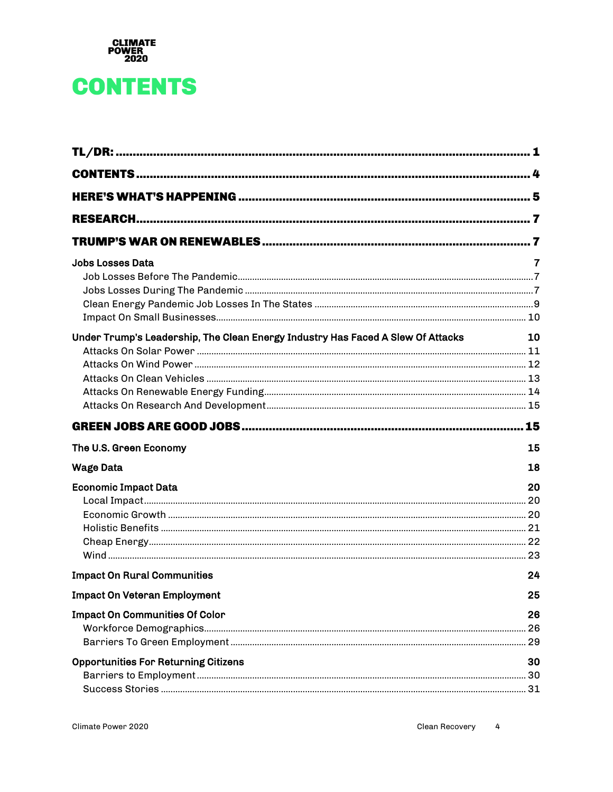

## <span id="page-3-0"></span>**CONTENTS**

| Jobs Losses Data                                                                | 7  |
|---------------------------------------------------------------------------------|----|
|                                                                                 |    |
|                                                                                 |    |
|                                                                                 |    |
|                                                                                 |    |
| Under Trump's Leadership, The Clean Energy Industry Has Faced A Slew Of Attacks | 10 |
|                                                                                 |    |
|                                                                                 |    |
|                                                                                 |    |
|                                                                                 |    |
|                                                                                 |    |
|                                                                                 |    |
| The U.S. Green Economy                                                          | 15 |
| Wage Data                                                                       | 18 |
| <b>Economic Impact Data</b>                                                     | 20 |
|                                                                                 |    |
|                                                                                 |    |
|                                                                                 |    |
|                                                                                 |    |
|                                                                                 |    |
| <b>Impact On Rural Communities</b>                                              | 24 |
| <b>Impact On Veteran Employment</b>                                             | 25 |
| <b>Impact On Communities Of Color</b>                                           | 26 |
|                                                                                 |    |
|                                                                                 |    |
| <b>Opportunities For Returning Citizens</b>                                     | 30 |
|                                                                                 |    |
|                                                                                 |    |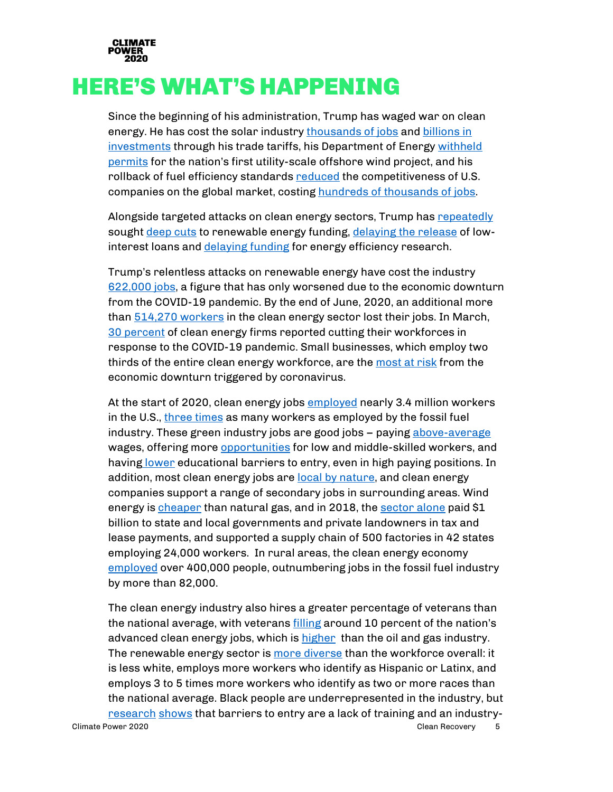

## <span id="page-4-0"></span>HERE'S WHAT'S HAPPENING

Since the beginning of his administration, Trump has waged war on clean energy. He has cost the solar industry [thousands of jobs](https://www.thesolarfoundation.org/wp-content/uploads/2020/02/Solar-Jobs-Census-2018-1-1.pdf) and billions in [investments](https://thehill.com/policy/energy-environment/472691-analysis-trump-solar-tariffs-cost-62k-us-jobs) through his trade tariffs, his Department of Energ[y withheld](https://www.nbcnews.com/politics/politics-news/trump-s-windmill-hatred-worry-booming-industry-n1060206)  [permits](https://www.nbcnews.com/politics/politics-news/trump-s-windmill-hatred-worry-booming-industry-n1060206) for the nation's first utility-scale offshore wind project, and his rollback of fuel efficiency standards [reduced](https://www.forbes.com/sites/energyinnovation/2019/08/07/trumps-clean-car-rollback-could-cost-up-to-400-billion-increase-transport-emissions-10/#3c41320b3b46) the competitiveness of U.S. companies on the global market, costing [hundreds of thousands of jobs.](https://www.washingtonpost.com/news/powerpost/paloma/the-energy-202/2019/04/02/the-energy-202-epa-s-own-adviser-finds-trump-s-rollback-of-car-rules-could-cost-jobs/5ca230f91b326b0f7f38f2d6/)

Alongside targeted attacks on clean energy sectors, Trump has [repeatedly](https://www.nytimes.com/2017/05/23/climate/trump-budget-energy.html) sought [deep cuts](https://thehill.com/policy/energy-environment/482352-trump-budget-slashes-funding-for-epa-environmental-programs) to renewable energy funding[, delaying the release](https://www.nytimes.com/2020/04/30/climate/clean-energy-loans-coronavirus-trump.html) of lowinterest loans and [delaying funding](https://thehill.com/policy/energy-environment/481671-dems-hit-doe-for-holding-back-energy-efficiency-funds) for energy efficiency research.

Trump's relentless attacks on renewable energy have cost the industry [622,000 jobs,](https://medium.com/@CAPAction/the-trump-administrations-war-on-renewable-energy-has-cost-the-industry-600-000-jobs-59b22579133c) a figure that has only worsened due to the economic downturn from the COVID-19 pandemic. By the end of June, 2020, an additional more than  $514,270$  workers in the clean energy sector lost their jobs. In March, [30 percent](https://www.eenews.net/energywire/stories/1062710417/search?keyword=Advanced+Energy) of clean energy firms reported cutting their workforces in response to the COVID-19 pandemic. Small businesses, which employ two thirds of the entire clean energy workforce, are the [most at risk](https://e2.org/wp-content/uploads/2020/04/E2-Clean-Jobs-America-2020.pdf) from the economic downturn triggered by coronavirus.

At the start of 2020, clean energy jobs [employed](https://e2.org/reports/clean-jobs-america-2020/) nearly 3.4 million workers in the U.S., [three times](https://e2.org/wp-content/uploads/2020/04/E2-Clean-Jobs-America-2020.pdf) as many workers as employed by the fossil fuel industry. These green industry jobs are good jobs – paying [above-average](https://www.brookings.edu/research/advancing-inclusion-through-clean-energy-jobs/) wages, offering more [opportunities](https://www.brookings.edu/wp-content/uploads/2016/07/0713_clean_economy.pdf) for low and middle-skilled workers, and having [lower](https://www.brookings.edu/research/advancing-inclusion-through-clean-energy-jobs/) educational barriers to entry, even in high paying positions. In addition, most clean energy jobs are [local by nature,](http://edfclimatecorps.org/nowhiringreport) and clean energy companies support a range of secondary jobs in surrounding areas. Wind energy is [cheaper](https://blogs.scientificamerican.com/plugged-in/wind-energy-is-one-of-the-cheapest-sources-of-electricity-and-its-getting-cheaper/) than natural gas, and in 2018, the [sector alone](https://www.aweablog.org/awea-annual-market-report-top-11-wind-power-trends-2018/) paid \$1 billion to state and local governments and private landowners in tax and lease payments, and supported a supply chain of 500 factories in 42 states employing 24,000 workers. In rural areas, the clean energy economy [employed](https://e2.org/reports/clean-jobs-rural-america-2019/) over 400,000 people, outnumbering jobs in the fossil fuel industry by more than 82,000.

Climate Power 2020 Clean Recovery 5 The clean energy industry also hires a greater percentage of veterans than the national average, with veteran[s filling](https://static1.squarespace.com/static/5a98cf80ec4eb7c5cd928c61/t/5ee783fe8807d732d560fcdd/1592230915051/2020+USEER+EXEC+0615.pdf) around 10 percent of the nation's advanced clean energy jobs, which is [higher](https://e2.org/wp-content/uploads/2020/04/E2-Clean-Jobs-America-2020.pdf) than the oil and gas industry. The renewable energy sector is [more diverse](https://static1.squarespace.com/static/5a98cf80ec4eb7c5cd928c61/t/5ee783fe8807d732d560fcdd/1592230915051/2020+USEER+EXEC+0615.pdf) than the workforce overall: it is less white, employs more workers who identify as Hispanic or Latinx, and employs 3 to 5 times more workers who identify as two or more races than the national average. Black people are underrepresented in the industry, but [research](https://www.brookings.edu/research/advancing-inclusion-through-clean-energy-jobs/) [shows](https://static1.squarespace.com/static/5a98cf80ec4eb7c5cd928c61/t/5ee783fe8807d732d560fcdd/1592230915051/2020+USEER+EXEC+0615.pdf) that barriers to entry are a lack of training and an industry-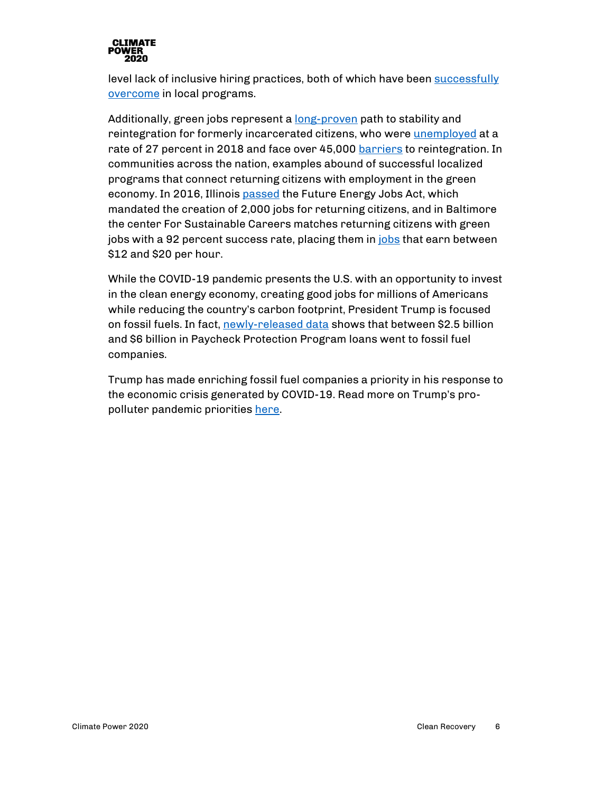

level lack of inclusive hiring practices, both of which have been [successfully](http://sustainablecareers.civicworks.com/our-impact/) [overcome](https://energynews.us/2016/12/08/midwest/illinois-energy-bill-after-race-to-the-finish-what-does-it-all-mean/) in local programs.

Additionally, green jobs represent a [long-proven](https://www.correctionsone.com/jail-management/articles/green-jobs-training-smooths-reentry-process-UCmxJpfrTrV5Ae6d/) path to stability and reintegration for formerly incarcerated citizens, who were [unemployed](https://www.prisonpolicy.org/reports/outofwork.html) at a rate of 27 percent in 2018 and face over 45,000 [barriers](https://www.ncjrs.gov/pdffiles1/nij/grants/251583.pdf) to reintegration. In communities across the nation, examples abound of successful localized programs that connect returning citizens with employment in the green economy. In 2016, Illinois [passed](https://energynews.us/2016/12/08/midwest/illinois-energy-bill-after-race-to-the-finish-what-does-it-all-mean/) the Future Energy Jobs Act, which mandated the creation of 2,000 jobs for returning citizens, and in Baltimore the center For Sustainable Careers matches returning citizens with green jobs with a 92 percent success rate, placing them in [jobs](http://civicworks.com/programs/center-sustainable-careers/) that earn between \$12 and \$20 per hour.

While the COVID-19 pandemic presents the U.S. with an opportunity to invest in the clean energy economy, creating good jobs for millions of Americans while reducing the country's carbon footprint, President Trump is focused on fossil fuels. In fact, [newly-released data](https://docs.google.com/spreadsheets/d/1wxD-8xw5VK78f-OIFDCuc1k9-wW4w28RqFCBHSuTkE4/edit?usp=sharing) shows that between \$2.5 billion and \$6 billion in Paycheck Protection Program loans went to fossil fuel companies.

Trump has made enriching fossil fuel companies a priority in his response to the economic crisis generated by COVID-19. Read more on Trump's propolluter pandemic priorities [here.](https://www.climatepower2020.org/resources/pro-polluter-pandemic-priorities/)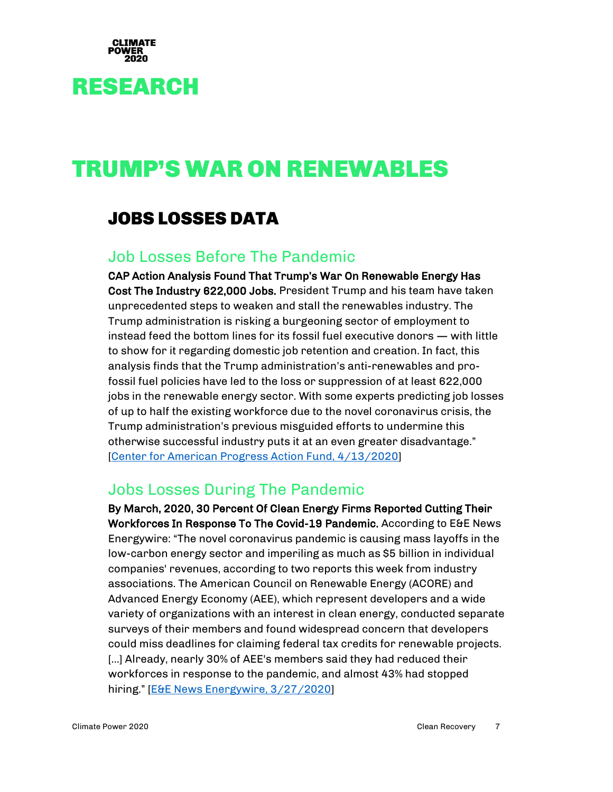

## <span id="page-6-1"></span><span id="page-6-0"></span>RESEARCH

## <span id="page-6-2"></span>TRUMP'S WAR ON RENEWABLES

#### JOBS LOSSES DATA

#### <span id="page-6-3"></span>Job Losses Before The Pandemic

CAP Action Analysis Found That Trump's War On Renewable Energy Has Cost The Industry 622,000 Jobs. President Trump and his team have taken unprecedented steps to weaken and stall the renewables industry. The Trump administration is risking a burgeoning sector of employment to instead feed the bottom lines for its fossil fuel executive donors — with little to show for it regarding domestic job retention and creation. In fact, this analysis finds that the Trump administration's anti-renewables and profossil fuel policies have led to the loss or suppression of at least 622,000 jobs in the renewable energy sector. With some experts predicting job losses of up to half the existing workforce due to the novel coronavirus crisis, the Trump administration's previous misguided efforts to undermine this otherwise successful industry puts it at an even greater disadvantage." [\[Center for American Progress Action Fund, 4/13/2020\]](https://medium.com/@CAPAction/the-trump-administrations-war-on-renewable-energy-has-cost-the-industry-600-000-jobs-59b22579133c)

#### <span id="page-6-4"></span>Jobs Losses During The Pandemic

By March, 2020, 30 Percent Of Clean Energy Firms Reported Cutting Their Workforces In Response To The Covid-19 Pandemic. According to E&E News Energywire: "The novel coronavirus pandemic is causing mass layoffs in the low-carbon energy sector and imperiling as much as \$5 billion in individual companies' revenues, according to two reports this week from industry associations. The American Council on Renewable Energy (ACORE) and Advanced Energy Economy (AEE), which represent developers and a wide variety of organizations with an interest in clean energy, conducted separate surveys of their members and found widespread concern that developers could miss deadlines for claiming federal tax credits for renewable projects. [...] Already, nearly 30% of AEE's members said they had reduced their workforces in response to the pandemic, and almost 43% had stopped hiring." [\[E&E News Energywire, 3/27/2020\]](https://www.eenews.net/energywire/stories/1062710417/search?keyword=Advanced+Energy)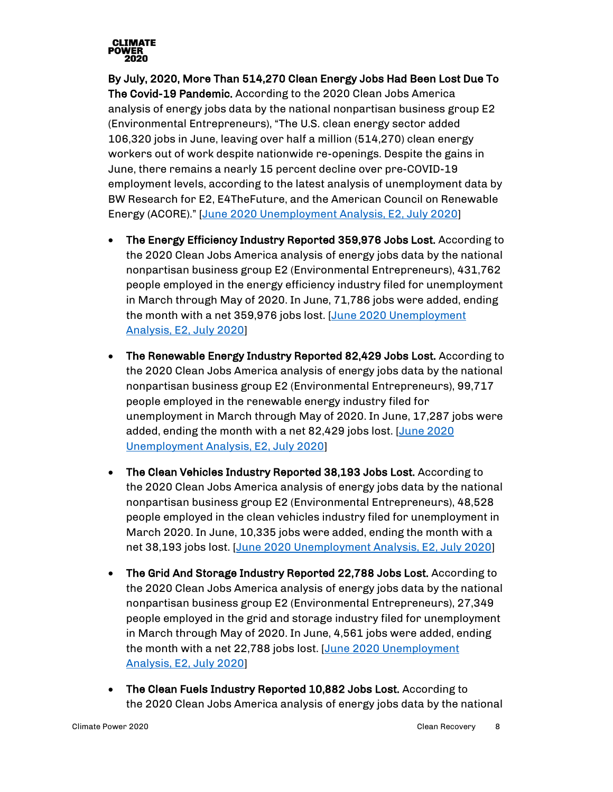

By July, 2020, More Than 514,270 Clean Energy Jobs Had Been Lost Due To The Covid-19 Pandemic. According to the 2020 Clean Jobs America analysis of energy jobs data by the national nonpartisan business group E2 (Environmental Entrepreneurs), "The U.S. clean energy sector added 106,320 jobs in June, leaving over half a million (514,270) clean energy workers out of work despite nationwide re-openings. Despite the gains in June, there remains a nearly 15 percent decline over pre-COVID-19 employment levels, according to the latest analysis of unemployment data by BW Research for E2, E4TheFuture, and the American Council on Renewable Energy (ACORE)." [\[June 2020 Unemployment Analysis, E2, July 2020\]](https://e2.org/reports/clean-jobs-covid-economic-crisis-june-2020/)

- The Energy Efficiency Industry Reported 359,976 Jobs Lost. According to the 2020 Clean Jobs America analysis of energy jobs data by the national nonpartisan business group E2 (Environmental Entrepreneurs), 431,762 people employed in the energy efficiency industry filed for unemployment in March through May of 2020. In June, 71,786 jobs were added, ending the month with a net 359,976 jobs lost. [\[June 2020 Unemployment](https://e2.org/reports/clean-jobs-covid-economic-crisis-june-2020/)  [Analysis, E2, July 2020\]](https://e2.org/reports/clean-jobs-covid-economic-crisis-june-2020/)
- The Renewable Energy Industry Reported 82,429 Jobs Lost. According to the 2020 Clean Jobs America analysis of energy jobs data by the national nonpartisan business group E2 (Environmental Entrepreneurs), 99,717 people employed in the renewable energy industry filed for unemployment in March through May of 2020. In June, 17,287 jobs were added, ending the month with a net 82,429 jobs lost. [\[June 2020](https://e2.org/reports/clean-jobs-covid-economic-crisis-june-2020/)  [Unemployment Analysis, E2, July 2020\]](https://e2.org/reports/clean-jobs-covid-economic-crisis-june-2020/)
- The Clean Vehicles Industry Reported 38,193 Jobs Lost. According to the 2020 Clean Jobs America analysis of energy jobs data by the national nonpartisan business group E2 (Environmental Entrepreneurs), 48,528 people employed in the clean vehicles industry filed for unemployment in March 2020. In June, 10,335 jobs were added, ending the month with a net 38,193 jobs lost. [\[June 2020 Unemployment Analysis, E2, July 2020\]](https://e2.org/reports/clean-jobs-covid-economic-crisis-june-2020/)
- The Grid And Storage Industry Reported 22,788 Jobs Lost. According to the 2020 Clean Jobs America analysis of energy jobs data by the national nonpartisan business group E2 (Environmental Entrepreneurs), 27,349 people employed in the grid and storage industry filed for unemployment in March through May of 2020. In June, 4,561 jobs were added, ending the month with a net 22,788 jobs lost. [June 2020 Unemployment [Analysis, E2, July 2020\]](https://e2.org/reports/clean-jobs-covid-economic-crisis-june-2020/)
- The Clean Fuels Industry Reported 10,882 Jobs Lost. According to the 2020 Clean Jobs America analysis of energy jobs data by the national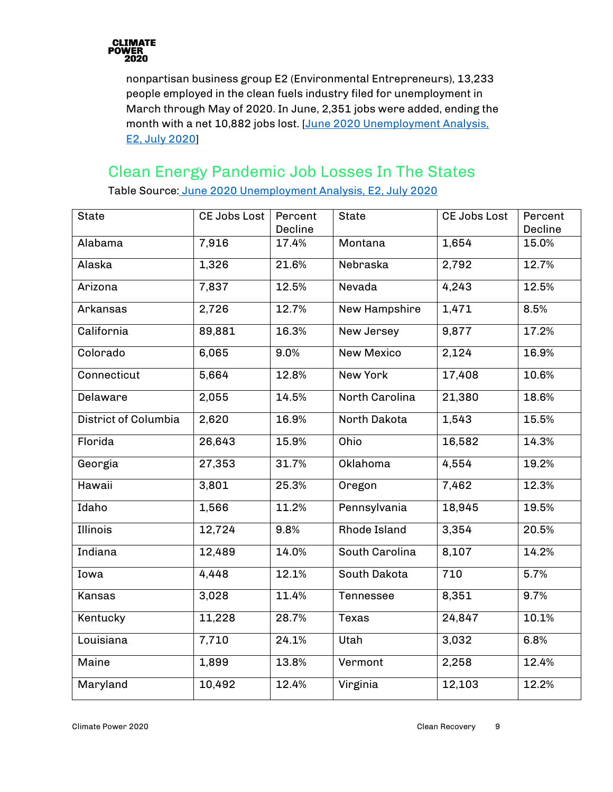

nonpartisan business group E2 (Environmental Entrepreneurs), 13,233 people employed in the clean fuels industry filed for unemployment in March through May of 2020. In June, 2,351 jobs were added, ending the month with a net 10,882 jobs lost. [\[June 2020 Unemployment Analysis,](https://e2.org/reports/clean-jobs-covid-economic-crisis-june-2020/)  [E2, July 2020\]](https://e2.org/reports/clean-jobs-covid-economic-crisis-june-2020/)

#### <span id="page-8-0"></span>Clean Energy Pandemic Job Losses In The States

| <b>State</b>         | CE Jobs Lost | Percent<br>Decline | <b>State</b>      | CE Jobs Lost | Percent<br>Decline |
|----------------------|--------------|--------------------|-------------------|--------------|--------------------|
| Alabama              | 7,916        | 17.4%              | Montana           | 1,654        | 15.0%              |
| Alaska               | 1,326        | 21.6%              | Nebraska          | 2,792        | 12.7%              |
| Arizona              | 7,837        | 12.5%              | Nevada            | 4,243        | 12.5%              |
| Arkansas             | 2,726        | 12.7%              | New Hampshire     | 1,471        | 8.5%               |
| California           | 89,881       | 16.3%              | New Jersey        | 9,877        | 17.2%              |
| Colorado             | 6,065        | 9.0%               | <b>New Mexico</b> | 2,124        | 16.9%              |
| Connecticut          | 5,664        | 12.8%              | New York          | 17,408       | 10.6%              |
| Delaware             | 2,055        | 14.5%              | North Carolina    | 21,380       | 18.6%              |
| District of Columbia | 2,620        | 16.9%              | North Dakota      | 1,543        | 15.5%              |
| Florida              | 26,643       | 15.9%              | Ohio              | 16,582       | 14.3%              |
| Georgia              | 27,353       | 31.7%              | Oklahoma          | 4,554        | 19.2%              |
| Hawaii               | 3,801        | 25.3%              | Oregon            | 7,462        | 12.3%              |
| Idaho                | 1,566        | 11.2%              | Pennsylvania      | 18,945       | 19.5%              |
| <b>Illinois</b>      | 12,724       | 9.8%               | Rhode Island      | 3,354        | 20.5%              |
| Indiana              | 12,489       | 14.0%              | South Carolina    | 8,107        | 14.2%              |
| Iowa                 | 4,448        | 12.1%              | South Dakota      | 710          | 5.7%               |
| Kansas               | 3,028        | 11.4%              | Tennessee         | 8,351        | 9.7%               |
| Kentucky             | 11,228       | 28.7%              | <b>Texas</b>      | 24,847       | 10.1%              |
| Louisiana            | 7,710        | 24.1%              | Utah              | 3,032        | 6.8%               |
| Maine                | 1,899        | 13.8%              | Vermont           | 2,258        | 12.4%              |
| Maryland             | 10,492       | 12.4%              | Virginia          | 12,103       | 12.2%              |

Table Source: [June 2020 Unemployment Analysis, E2, July 2020](https://e2.org/reports/clean-jobs-covid-economic-crisis-june-2020/)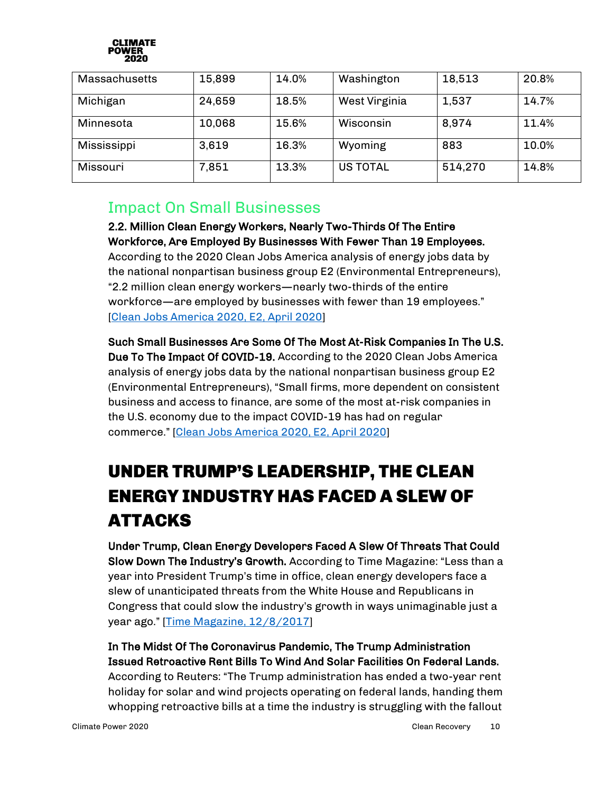

| Massachusetts | 15,899 | 14.0% | Washington      | 18,513  | 20.8% |
|---------------|--------|-------|-----------------|---------|-------|
| Michigan      | 24,659 | 18.5% | West Virginia   | 1,537   | 14.7% |
| Minnesota     | 10,068 | 15.6% | Wisconsin       | 8,974   | 11.4% |
| Mississippi   | 3,619  | 16.3% | Wyoming         | 883     | 10.0% |
| Missouri      | 7,851  | 13.3% | <b>US TOTAL</b> | 514,270 | 14.8% |

#### <span id="page-9-0"></span>Impact On Small Businesses

#### 2.2. Million Clean Energy Workers, Nearly Two-Thirds Of The Entire Workforce, Are Employed By Businesses With Fewer Than 19 Employees.

According to the 2020 Clean Jobs America analysis of energy jobs data by the national nonpartisan business group E2 (Environmental Entrepreneurs), "2.2 million clean energy workers—nearly two-thirds of the entire workforce—are employed by businesses with fewer than 19 employees." [\[Clean Jobs America 2020, E2, April 2020\]](https://e2.org/wp-content/uploads/2020/04/E2-Clean-Jobs-America-2020.pdf)

Such Small Businesses Are Some Of The Most At-Risk Companies In The U.S. Due To The Impact Of COVID-19. According to the 2020 Clean Jobs America analysis of energy jobs data by the national nonpartisan business group E2 (Environmental Entrepreneurs), "Small firms, more dependent on consistent business and access to finance, are some of the most at-risk companies in the U.S. economy due to the impact COVID-19 has had on regular commerce." [\[Clean Jobs America 2020, E2, April 2020\]](https://e2.org/wp-content/uploads/2020/04/E2-Clean-Jobs-America-2020.pdf)

## <span id="page-9-1"></span>UNDER TRUMP'S LEADERSHIP, THE CLEAN ENERGY INDUSTRY HAS FACED A SLEW OF ATTACKS

Under Trump, Clean Energy Developers Faced A Slew Of Threats That Could Slow Down The Industry's Growth. According to Time Magazine: "Less than a year into President Trump's time in office, clean energy developers face a slew of unanticipated threats from the White House and Republicans in Congress that could slow the industry's growth in ways unimaginable just a year ago." [\[Time Magazine, 12/8/2017\]](https://time.com/5049849/solar-power-wind-power-trump-coal/)

In The Midst Of The Coronavirus Pandemic, The Trump Administration Issued Retroactive Rent Bills To Wind And Solar Facilities On Federal Lands.

According to Reuters: "The Trump administration has ended a two-year rent holiday for solar and wind projects operating on federal lands, handing them whopping retroactive bills at a time the industry is struggling with the fallout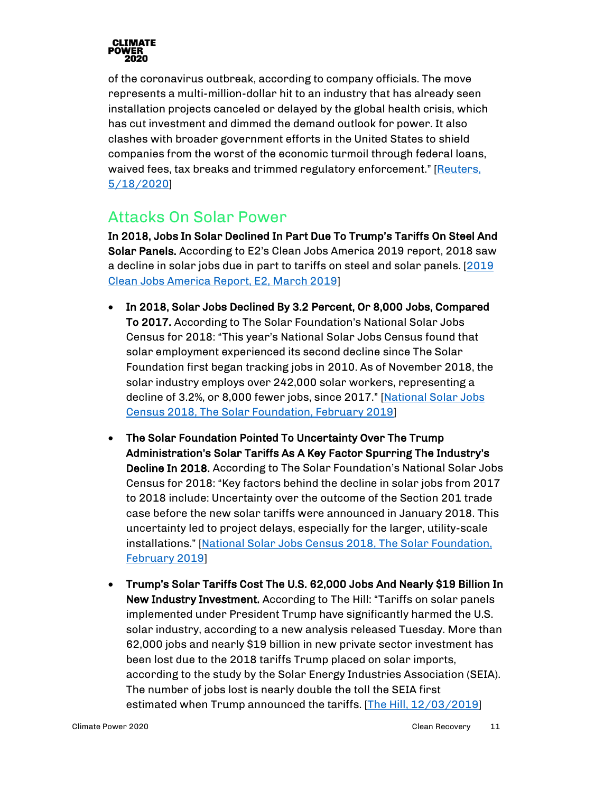

of the coronavirus outbreak, according to company officials. The move represents a multi-million-dollar hit to an industry that has already seen installation projects canceled or delayed by the global health crisis, which has cut investment and dimmed the demand outlook for power. It also clashes with broader government efforts in the United States to shield companies from the worst of the economic turmoil through federal loans, waived fees, tax breaks and trimmed regulatory enforcement." [\[Reuters,](https://www.reuters.com/article/us-usa-interior-renewables/trump-admin-slaps-solar-wind-operators-with-retroactive-rent-bills-idUSKBN22U0FW)  [5/18/2020\]](https://www.reuters.com/article/us-usa-interior-renewables/trump-admin-slaps-solar-wind-operators-with-retroactive-rent-bills-idUSKBN22U0FW)

#### <span id="page-10-0"></span>Attacks On Solar Power

In 2018, Jobs In Solar Declined In Part Due To Trump's Tariffs On Steel And Solar Panels. According to E2's Clean Jobs America 2019 report, 2018 saw a decline in solar jobs due in part to tariffs on steel and solar panels. [\[2019](https://e2.org/reports/clean-jobs-america-2019/)  [Clean Jobs America Report,](https://e2.org/reports/clean-jobs-america-2019/) E2, March 2019]

- In 2018, Solar Jobs Declined By 3.2 Percent, Or 8,000 Jobs, Compared To 2017. According to The Solar Foundation's National Solar Jobs Census for 2018: "This year's National Solar Jobs Census found that solar employment experienced its second decline since The Solar Foundation first began tracking jobs in 2010. As of November 2018, the solar industry employs over 242,000 solar workers, representing a decline of 3.2%, or 8,000 fewer jobs, since 2017." [\[National Solar Jobs](https://www.thesolarfoundation.org/wp-content/uploads/2020/02/Solar-Jobs-Census-2018-1-1.pdf)  [Census 2018, The Solar Foundation, February 2019\]](https://www.thesolarfoundation.org/wp-content/uploads/2020/02/Solar-Jobs-Census-2018-1-1.pdf)
- The Solar Foundation Pointed To Uncertainty Over The Trump Administration's Solar Tariffs As A Key Factor Spurring The Industry's Decline In 2018. According to The Solar Foundation's National Solar Jobs Census for 2018: "Key factors behind the decline in solar jobs from 2017 to 2018 include: Uncertainty over the outcome of the Section 201 trade case before the new solar tariffs were announced in January 2018. This uncertainty led to project delays, especially for the larger, utility-scale installations." [National Solar Jobs Census 2018, The Solar Foundation, [February 2019\]](https://www.thesolarfoundation.org/wp-content/uploads/2020/02/Solar-Jobs-Census-2018-1-1.pdf)
- Trump's Solar Tariffs Cost The U.S. 62,000 Jobs And Nearly \$19 Billion In New Industry Investment. According to The Hill: "Tariffs on solar panels implemented under President Trump have significantly harmed the U.S. solar industry, according to a new analysis released Tuesday. More than 62,000 jobs and nearly \$19 billion in new private sector investment has been lost due to the 2018 tariffs Trump placed on solar imports, according to the study by the Solar Energy Industries Association (SEIA). The number of jobs lost is nearly double the toll the SEIA first estimated when Trump announced the tariffs. [\[The Hill, 12/03/2019\]](https://thehill.com/policy/energy-environment/472691-analysis-trump-solar-tariffs-cost-62k-us-jobs)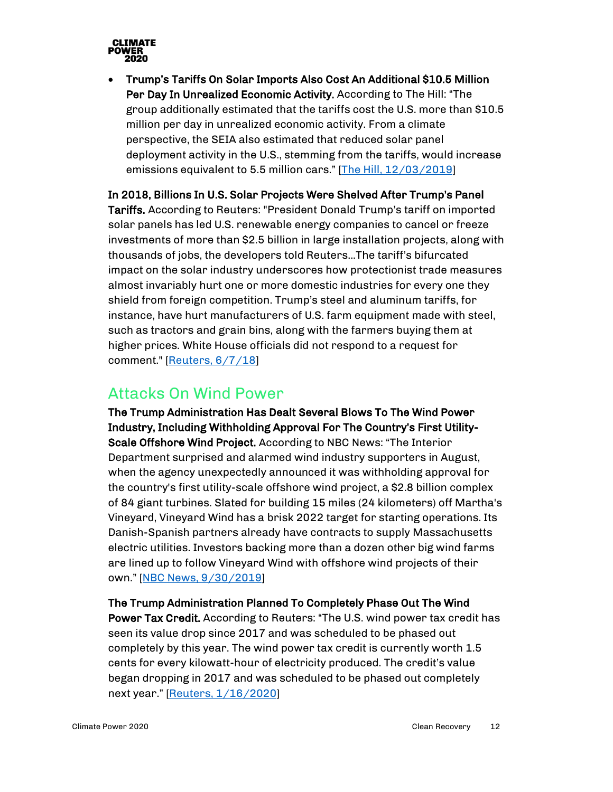

• Trump's Tariffs On Solar Imports Also Cost An Additional \$10.5 Million Per Day In Unrealized Economic Activity. According to The Hill: "The group additionally estimated that the tariffs cost the U.S. more than \$10.5 million per day in unrealized economic activity. From a climate perspective, the SEIA also estimated that reduced solar panel deployment activity in the U.S., stemming from the tariffs, would increase emissions equivalent to 5.5 million cars." [\[The Hill, 12/03/2019\]](https://thehill.com/policy/energy-environment/472691-analysis-trump-solar-tariffs-cost-62k-us-jobs)

In 2018, Billions In U.S. Solar Projects Were Shelved After Trump's Panel

Tariffs. According to Reuters: "President Donald Trump's tariff on imported solar panels has led U.S. renewable energy companies to cancel or freeze investments of more than \$2.5 billion in large installation projects, along with thousands of jobs, the developers told Reuters...The tariff's bifurcated impact on the solar industry underscores how protectionist trade measures almost invariably hurt one or more domestic industries for every one they shield from foreign competition. Trump's steel and aluminum tariffs, for instance, have hurt manufacturers of U.S. farm equipment made with steel, such as tractors and grain bins, along with the farmers buying them at higher prices. White House officials did not respond to a request for comment." [\[Reuters,](https://www.reuters.com/article/us-trump-effect-solar-insight/billions-in-u-s-solar-projects-shelved-after-trump-panel-tariff-idUSKCN1J30CT) 6/7/18]

#### <span id="page-11-0"></span>Attacks On Wind Power

The Trump Administration Has Dealt Several Blows To The Wind Power Industry, Including Withholding Approval For The Country's First Utility-Scale Offshore Wind Project. According to NBC News: "The Interior Department surprised and alarmed wind industry supporters in August, when the agency unexpectedly announced it was withholding approval for the country's first utility-scale offshore wind project, a \$2.8 billion complex of 84 giant turbines. Slated for building 15 miles (24 kilometers) off Martha's Vineyard, Vineyard Wind has a brisk 2022 target for starting operations. Its Danish-Spanish partners already have contracts to supply Massachusetts electric utilities. Investors backing more than a dozen other big wind farms are lined up to follow Vineyard Wind with offshore wind projects of their own." [\[NBC News, 9/30/2019\]](https://www.nbcnews.com/politics/politics-news/trump-s-windmill-hatred-worry-booming-industry-n1060206)

#### The Trump Administration Planned To Completely Phase Out The Wind

Power Tax Credit. According to Reuters: "The U.S. wind power tax credit has seen its value drop since 2017 and was scheduled to be phased out completely by this year. The wind power tax credit is currently worth 1.5 cents for every kilowatt-hour of electricity produced. The credit's value began dropping in 2017 and was scheduled to be phased out completely next year." [\[Reuters, 1/16/2020\]](https://www.reuters.com/article/us-usa-renewables-investment/u-s-clean-energy-investment-hits-new-record-despite-trump-administration-views-idUSKBN1ZF259)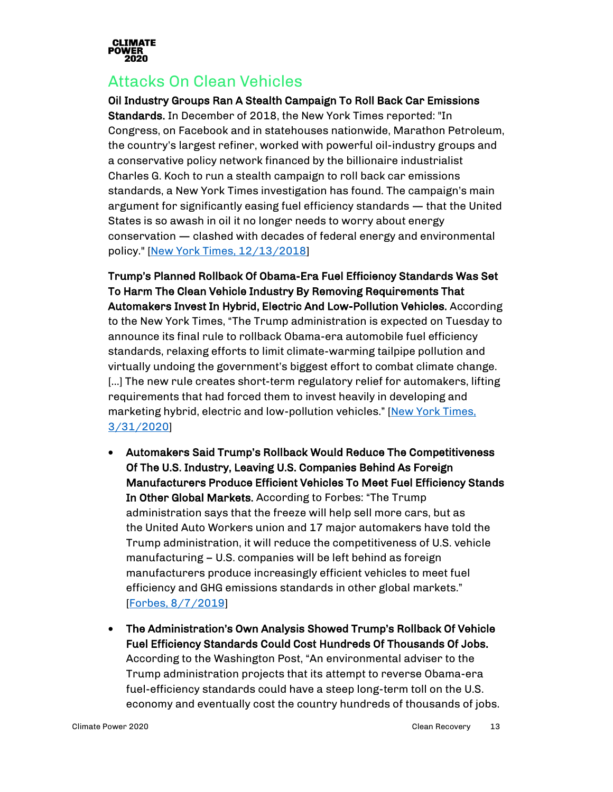

#### <span id="page-12-0"></span>Attacks On Clean Vehicles

Oil Industry Groups Ran A Stealth Campaign To Roll Back Car Emissions

Standards. In December of 2018, the New York Times reported: "In Congress, on Facebook and in statehouses nationwide, Marathon Petroleum, the country's largest refiner, worked with powerful oil-industry groups and a conservative policy network financed by the billionaire industrialist Charles G. Koch to run a stealth campaign to roll back car emissions standards, a New York Times investigation has found. The campaign's main argument for significantly easing fuel efficiency standards — that the United States is so awash in oil it no longer needs to worry about energy conservation — clashed with decades of federal energy and environmental policy." [\[New York Times, 12/13/2018\]](https://www.nytimes.com/2018/12/13/climate/cafe-emissions-rollback-oil-industry.html)

Trump's Planned Rollback Of Obama-Era Fuel Efficiency Standards Was Set To Harm The Clean Vehicle Industry By Removing Requirements That Automakers Invest In Hybrid, Electric And Low-Pollution Vehicles. According to the New York Times, "The Trump administration is expected on Tuesday to announce its final rule to rollback Obama-era automobile fuel efficiency standards, relaxing efforts to limit climate-warming tailpipe pollution and virtually undoing the government's biggest effort to combat climate change. […] The new rule creates short-term regulatory relief for automakers, lifting requirements that had forced them to invest heavily in developing and marketing hybrid, electric and low-pollution vehicles." [New York Times, [3/31/2020\]](https://www.nytimes.com/2020/03/30/climate/trump-fuel-economy.html)

- Automakers Said Trump's Rollback Would Reduce The Competitiveness Of The U.S. Industry, Leaving U.S. Companies Behind As Foreign Manufacturers Produce Efficient Vehicles To Meet Fuel Efficiency Stands In Other Global Markets. According to Forbes: "The Trump administration says that the freeze will help sell more cars, but as the United Auto Workers union and 17 major automakers have told the Trump administration, it will reduce the competitiveness of U.S. vehicle manufacturing – U.S. companies will be left behind as foreign manufacturers produce increasingly efficient vehicles to meet fuel efficiency and GHG emissions standards in other global markets." [\[Forbes, 8/7/2019\]](https://www.forbes.com/sites/energyinnovation/2019/08/07/trumps-clean-car-rollback-could-cost-up-to-400-billion-increase-transport-emissions-10/#3c41320b3b46)
- The Administration's Own Analysis Showed Trump's Rollback Of Vehicle Fuel Efficiency Standards Could Cost Hundreds Of Thousands Of Jobs. According to the Washington Post, "An environmental adviser to the Trump administration projects that its attempt to reverse Obama-era fuel-efficiency standards could have a steep long-term toll on the U.S. economy and eventually cost the country hundreds of thousands of jobs.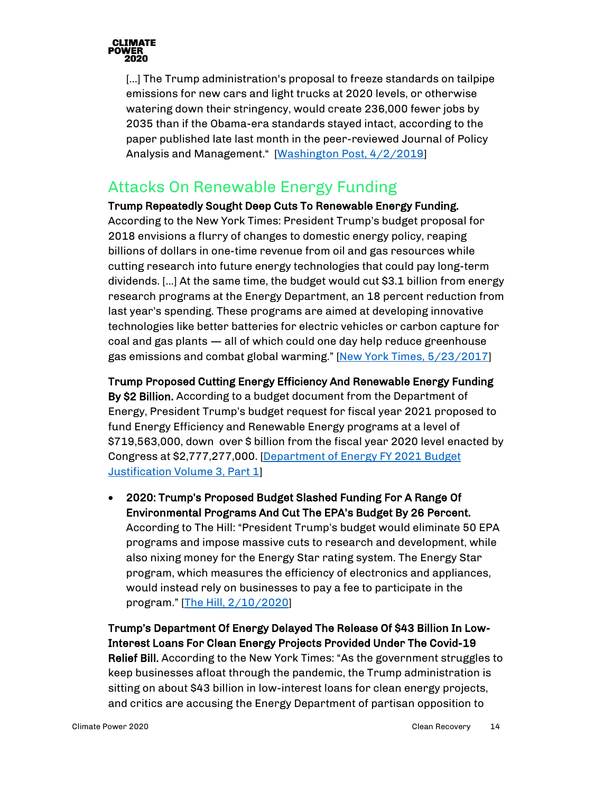

[...] The Trump administration's proposal to freeze standards on tailpipe emissions for new cars and light trucks at 2020 levels, or otherwise watering down their stringency, would create 236,000 fewer jobs by 2035 than if the Obama-era standards stayed intact, according to the paper published late last month in the peer-reviewed Journal of Policy Analysis and Management." [\[Washington Post, 4/2/2019\]](https://www.washingtonpost.com/news/powerpost/paloma/the-energy-202/2019/04/02/the-energy-202-epa-s-own-adviser-finds-trump-s-rollback-of-car-rules-could-cost-jobs/5ca230f91b326b0f7f38f2d6/)

#### <span id="page-13-0"></span>Attacks On Renewable Energy Funding

#### Trump Repeatedly Sought Deep Cuts To Renewable Energy Funding.

According to the New York Times: President Trump's budget proposal for 2018 envisions a flurry of changes to domestic energy policy, reaping billions of dollars in one-time revenue from oil and gas resources while cutting research into future energy technologies that could pay long-term dividends. […] At the same time, the budget would cut \$3.1 billion from energy research programs at the Energy Department, an 18 percent reduction from last year's spending. These programs are aimed at developing innovative technologies like better batteries for electric vehicles or carbon capture for coal and gas plants — all of which could one day help reduce greenhouse gas emissions and combat global warming." [\[New York Times, 5/23/2017\]](https://www.nytimes.com/2017/05/23/climate/trump-budget-energy.html)

#### Trump Proposed Cutting Energy Efficiency And Renewable Energy Funding

By \$2 Billion. According to a budget document from the Department of Energy, President Trump's budget request for fiscal year 2021 proposed to fund Energy Efficiency and Renewable Energy programs at a level of \$719,563,000, down over \$ billion from the fiscal year 2020 level enacted by Congress at \$2,777,277,000. [\[Department of Energy FY 2021 Budget](https://www.energy.gov/cfo/downloads/fy-2021-budget-justification)  [Justification Volume 3, Part 1\]](https://www.energy.gov/cfo/downloads/fy-2021-budget-justification)

• 2020: Trump's Proposed Budget Slashed Funding For A Range Of Environmental Programs And Cut The EPA's Budget By 26 Percent. According to The Hill: "President Trump's budget would eliminate 50 EPA programs and impose massive cuts to research and development, while also nixing money for the Energy Star rating system. The Energy Star program, which measures the efficiency of electronics and appliances, would instead rely on businesses to pay a fee to participate in the program." [\[The Hill, 2/10/2020\]](https://thehill.com/policy/energy-environment/482352-trump-budget-slashes-funding-for-epa-environmental-programs)

Trump's Department Of Energy Delayed The Release Of \$43 Billion In Low-Interest Loans For Clean Energy Projects Provided Under The Covid-19 Relief Bill. According to the New York Times: "As the government struggles to keep businesses afloat through the pandemic, the Trump administration is sitting on about \$43 billion in low-interest loans for clean energy projects, and critics are accusing the Energy Department of partisan opposition to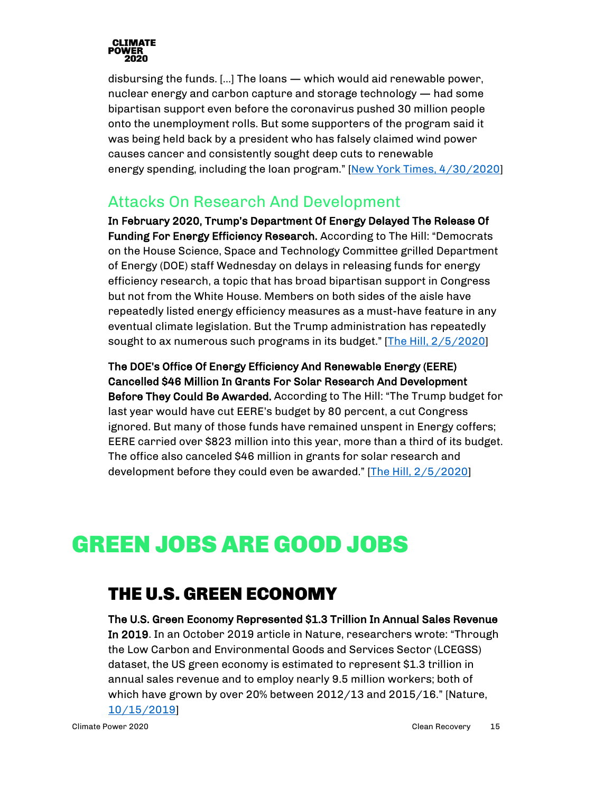

disbursing the funds. […] The loans — which would aid renewable power, nuclear energy and carbon capture and storage technology — had some bipartisan support even before the coronavirus pushed 30 million people onto the unemployment rolls. But some supporters of the program said it was being held back by a president who has falsely claimed wind power causes cancer and consistently sought deep cuts to renewable energy spending, including the loan program." [\[New York Times, 4/30/2020\]](https://www.nytimes.com/2020/04/30/climate/clean-energy-loans-coronavirus-trump.html)

#### <span id="page-14-0"></span>Attacks On Research And Development

In February 2020, Trump's Department Of Energy Delayed The Release Of Funding For Energy Efficiency Research. According to The Hill: "Democrats on the House Science, Space and Technology Committee grilled Department of Energy (DOE) staff Wednesday on delays in releasing funds for energy efficiency research, a topic that has broad bipartisan support in Congress but not from the White House. Members on both sides of the aisle have repeatedly listed energy efficiency measures as a must-have feature in any eventual climate legislation. But the Trump administration has repeatedly sought to ax numerous such programs in its budget." [The Hill, [2/5/2020\]](https://thehill.com/policy/energy-environment/481671-dems-hit-doe-for-holding-back-energy-efficiency-funds)

The DOE's Office Of Energy Efficiency And Renewable Energy (EERE) Cancelled \$46 Million In Grants For Solar Research And Development Before They Could Be Awarded. According to The Hill: "The Trump budget for last year would have cut EERE's budget by 80 percent, a cut Congress ignored. But many of those funds have remained unspent in Energy coffers; EERE carried over \$823 million into this year, more than a third of its budget. The office also canceled \$46 million in grants for solar research and development before they could even be awarded." [\[The Hill, 2/5/2020\]](https://thehill.com/policy/energy-environment/481671-dems-hit-doe-for-holding-back-energy-efficiency-funds)

## <span id="page-14-2"></span><span id="page-14-1"></span>GREEN JOBS ARE GOOD JOBS

## THE U.S. GREEN ECONOMY

The U.S. Green Economy Represented \$1.3 Trillion In Annual Sales Revenue In 2019. In an October 2019 article in Nature, researchers wrote: "Through the Low Carbon and Environmental Goods and Services Sector (LCEGSS) dataset, the US green economy is estimated to represent \$1.3 trillion in annual sales revenue and to employ nearly 9.5 million workers; both of which have grown by over 20% between 2012/13 and 2015/16." [Nature, [10/15/2019\]](https://www.nature.com/articles/s41599-019-0329-3)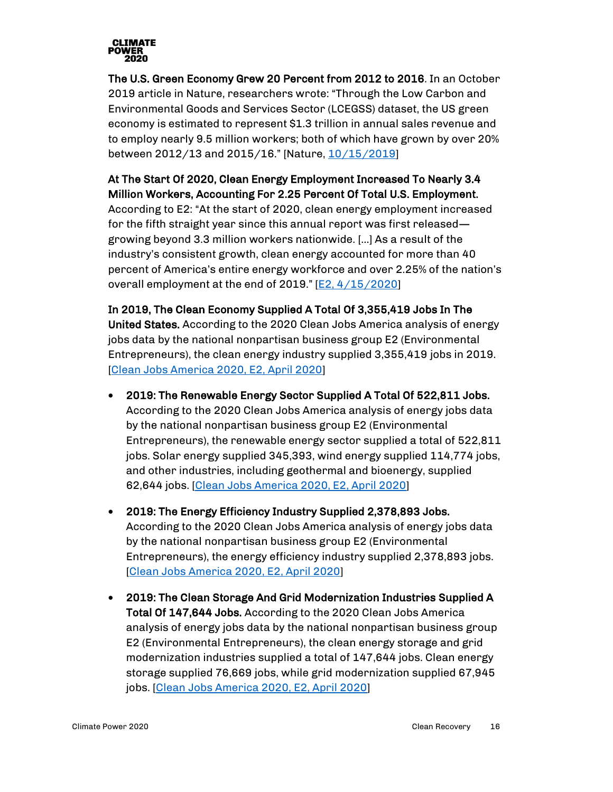

The U.S. Green Economy Grew 20 Percent from 2012 to 2016. In an October 2019 article in Nature, researchers wrote: "Through the Low Carbon and Environmental Goods and Services Sector (LCEGSS) dataset, the US green economy is estimated to represent \$1.3 trillion in annual sales revenue and to employ nearly 9.5 million workers; both of which have grown by over 20% between 2012/13 and 2015/16." [Nature, [10/15/2019\]](https://www.nature.com/articles/s41599-019-0329-3)

#### At The Start Of 2020, Clean Energy Employment Increased To Nearly 3.4 Million Workers, Accounting For 2.25 Percent Of Total U.S. Employment.

According to E2: "At the start of 2020, clean energy employment increased for the fifth straight year since this annual report was first released growing beyond 3.3 million workers nationwide. […] As a result of the industry's consistent growth, clean energy accounted for more than 40 percent of America's entire energy workforce and over 2.25% of the nation's overall employment at the end of 2019." [\[E2, 4/15/2020\]](https://e2.org/reports/clean-jobs-america-2020/)

In 2019, The Clean Economy Supplied A Total Of 3,355,419 Jobs In The United States. According to the 2020 Clean Jobs America analysis of energy jobs data by the national nonpartisan business group E2 (Environmental Entrepreneurs), the clean energy industry supplied 3,355,419 jobs in 2019. [\[Clean Jobs America 2020, E2, April 2020\]](https://e2.org/wp-content/uploads/2020/04/E2-Clean-Jobs-America-2020.pdf)

- 2019: The Renewable Energy Sector Supplied A Total Of 522,811 Jobs. According to the 2020 Clean Jobs America analysis of energy jobs data by the national nonpartisan business group E2 (Environmental Entrepreneurs), the renewable energy sector supplied a total of 522,811 jobs. Solar energy supplied 345,393, wind energy supplied 114,774 jobs, and other industries, including geothermal and bioenergy, supplied 62,644 jobs. [\[Clean Jobs America 2020, E2, April 2020\]](https://e2.org/wp-content/uploads/2020/04/E2-Clean-Jobs-America-2020.pdf)
- 2019: The Energy Efficiency Industry Supplied 2,378,893 Jobs. According to the 2020 Clean Jobs America analysis of energy jobs data by the national nonpartisan business group E2 (Environmental Entrepreneurs), the energy efficiency industry supplied 2,378,893 jobs. [\[Clean Jobs America 2020, E2, April 2020\]](https://e2.org/wp-content/uploads/2020/04/E2-Clean-Jobs-America-2020.pdf)
- 2019: The Clean Storage And Grid Modernization Industries Supplied A Total Of 147,644 Jobs. According to the 2020 Clean Jobs America analysis of energy jobs data by the national nonpartisan business group E2 (Environmental Entrepreneurs), the clean energy storage and grid modernization industries supplied a total of 147,644 jobs. Clean energy storage supplied 76,669 jobs, while grid modernization supplied 67,945 jobs. [Clean Jobs [America 2020, E2, April 2020\]](https://e2.org/wp-content/uploads/2020/04/E2-Clean-Jobs-America-2020.pdf)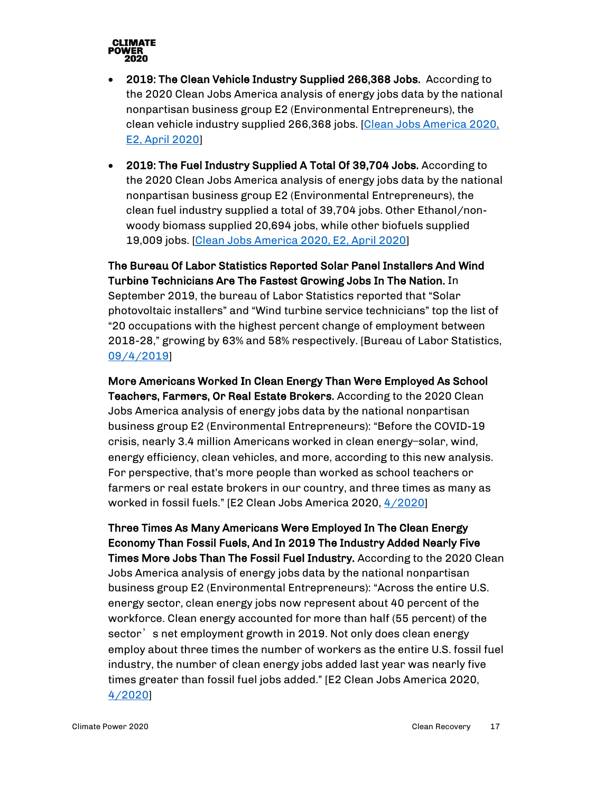

- 2019: The Clean Vehicle Industry Supplied 266,368 Jobs. According to the 2020 Clean Jobs America analysis of energy jobs data by the national nonpartisan business group E2 (Environmental Entrepreneurs), the clean vehicle industry supplied 266,368 jobs. [\[Clean Jobs America 2020,](https://e2.org/wp-content/uploads/2020/04/E2-Clean-Jobs-America-2020.pdf)  [E2, April 2020\]](https://e2.org/wp-content/uploads/2020/04/E2-Clean-Jobs-America-2020.pdf)
- 2019: The Fuel Industry Supplied A Total Of 39,704 Jobs. According to the 2020 Clean Jobs America analysis of energy jobs data by the national nonpartisan business group E2 (Environmental Entrepreneurs), the clean fuel industry supplied a total of 39,704 jobs. Other Ethanol/nonwoody biomass supplied 20,694 jobs, while other biofuels supplied 19,009 jobs. [\[Clean Jobs America 2020, E2, April 2020\]](https://e2.org/wp-content/uploads/2020/04/E2-Clean-Jobs-America-2020.pdf)

The Bureau Of Labor Statistics Reported Solar Panel Installers And Wind Turbine Technicians Are The Fastest Growing Jobs In The Nation. In September 2019, the bureau of Labor Statistics reported that "Solar photovoltaic installers" and "Wind turbine service technicians" top the list of "20 occupations with the highest percent change of employment between 2018-28," growing by 63% and 58% respectively. [Bureau of Labor Statistics, [09/4/2019\]](https://www.bls.gov/ooh/fastest-growing.htm)

More Americans Worked In Clean Energy Than Were Employed As School Teachers, Farmers, Or Real Estate Brokers. According to the 2020 Clean Jobs America analysis of energy jobs data by the national nonpartisan business group E2 (Environmental Entrepreneurs): "Before the COVID-19 crisis, nearly 3.4 million Americans worked in clean energy—solar, wind, energy efficiency, clean vehicles, and more, according to this new analysis. For perspective, that's more people than worked as school teachers or farmers or real estate brokers in our country, and three times as many as worked in fossil fuels." [E2 Clean Jobs America 2020, [4/2020\]](https://e2.org/wp-content/uploads/2020/04/E2-Clean-Jobs-America-2020.pdf)

Three Times As Many Americans Were Employed In The Clean Energy Economy Than Fossil Fuels, And In 2019 The Industry Added Nearly Five Times More Jobs Than The Fossil Fuel Industry. According to the 2020 Clean Jobs America analysis of energy jobs data by the national nonpartisan business group E2 (Environmental Entrepreneurs): "Across the entire U.S. energy sector, clean energy jobs now represent about 40 percent of the workforce. Clean energy accounted for more than half (55 percent) of the sector's net employment growth in 2019. Not only does clean energy employ about three times the number of workers as the entire U.S. fossil fuel industry, the number of clean energy jobs added last year was nearly five times greater than fossil fuel jobs added." [E2 Clean Jobs America 2020, [4/2020\]](https://e2.org/wp-content/uploads/2020/04/E2-Clean-Jobs-America-2020.pdf)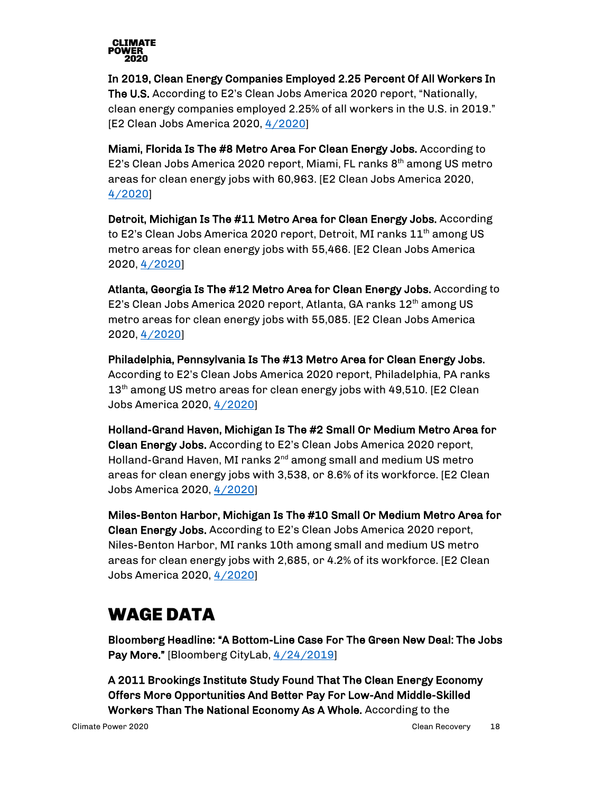

In 2019, Clean Energy Companies Employed 2.25 Percent Of All Workers In The U.S. According to E2's Clean Jobs America 2020 report, "Nationally, clean energy companies employed 2.25% of all workers in the U.S. in 2019." [E2 Clean Jobs America 2020, [4/2020\]](https://e2.org/wp-content/uploads/2020/04/E2-Clean-Jobs-America-2020.pdf)

Miami, Florida Is The #8 Metro Area For Clean Energy Jobs. According to E2's Clean Jobs America 2020 report, Miami, FL ranks  $8<sup>th</sup>$  among US metro areas for clean energy jobs with 60,963. [E2 Clean Jobs America 2020, [4/2020\]](https://e2.org/wp-content/uploads/2020/04/E2-Clean-Jobs-America-2020.pdf)

Detroit, Michigan Is The #11 Metro Area for Clean Energy Jobs. According to E2's Clean Jobs America 2020 report, Detroit, MI ranks  $11^{\text{th}}$  among US metro areas for clean energy jobs with 55,466. [E2 Clean Jobs America 2020, [4/2020\]](https://e2.org/wp-content/uploads/2020/04/E2-Clean-Jobs-America-2020.pdf)

Atlanta, Georgia Is The #12 Metro Area for Clean Energy Jobs. According to E2's Clean Jobs America 2020 report, Atlanta, GA ranks 12<sup>th</sup> among US metro areas for clean energy jobs with 55,085. [E2 Clean Jobs America 2020, [4/2020\]](https://e2.org/wp-content/uploads/2020/04/E2-Clean-Jobs-America-2020.pdf)

Philadelphia, Pennsylvania Is The #13 Metro Area for Clean Energy Jobs. According to E2's Clean Jobs America 2020 report, Philadelphia, PA ranks 13<sup>th</sup> among US metro areas for clean energy jobs with 49,510. [E2 Clean Jobs America 2020, [4/2020\]](https://e2.org/wp-content/uploads/2020/04/E2-Clean-Jobs-America-2020.pdf)

Holland-Grand Haven, Michigan Is The #2 Small Or Medium Metro Area for Clean Energy Jobs. According to E2's Clean Jobs America 2020 report, Holland-Grand Haven, MI ranks  $2^{nd}$  among small and medium US metro areas for clean energy jobs with 3,538, or 8.6% of its workforce. [E2 Clean Jobs America 2020, [4/2020\]](https://e2.org/wp-content/uploads/2020/04/E2-Clean-Jobs-America-2020.pdf)

Miles-Benton Harbor, Michigan Is The #10 Small Or Medium Metro Area for Clean Energy Jobs. According to E2's Clean Jobs America 2020 report, Niles-Benton Harbor, MI ranks 10th among small and medium US metro areas for clean energy jobs with 2,685, or 4.2% of its workforce. [E2 Clean Jobs America 2020[, 4/2020\]](https://e2.org/wp-content/uploads/2020/04/E2-Clean-Jobs-America-2020.pdf)

## <span id="page-17-0"></span>WAGE DATA

Bloomberg Headline: "A Bottom-Line Case For The Green New Deal: The Jobs Pay More." [Bloomberg CityLab,  $4/24/2019$ ]

A 2011 Brookings Institute Study Found That The Clean Energy Economy Offers More Opportunities And Better Pay For Low-And Middle-Skilled Workers Than The National Economy As A Whole. According to the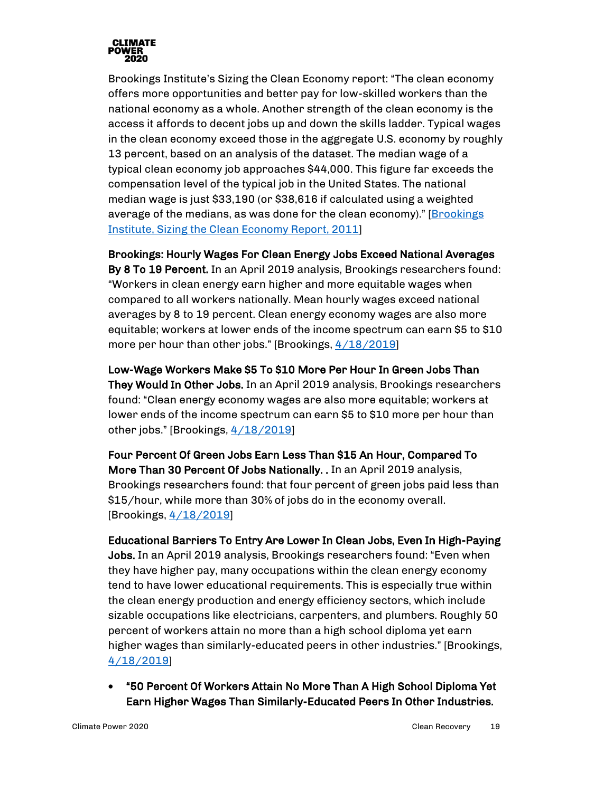

Brookings Institute's Sizing the Clean Economy report: "The clean economy offers more opportunities and better pay for low-skilled workers than the national economy as a whole. Another strength of the clean economy is the access it affords to decent jobs up and down the skills ladder. Typical wages in the clean economy exceed those in the aggregate U.S. economy by roughly 13 percent, based on an analysis of the dataset. The median wage of a typical clean economy job approaches \$44,000. This figure far exceeds the compensation level of the typical job in the United States. The national median wage is just \$33,190 (or \$38,616 if calculated using a weighted average of the medians, as was done for the clean economy)." [\[Brookings](https://www.brookings.edu/wp-content/uploads/2016/07/0713_clean_economy.pdf)  [Institute, Sizing the Clean Economy Report, 2011\]](https://www.brookings.edu/wp-content/uploads/2016/07/0713_clean_economy.pdf)

#### Brookings: Hourly Wages For Clean Energy Jobs Exceed National Averages

By 8 To 19 Percent. In an April 2019 analysis, Brookings researchers found: "Workers in clean energy earn higher and more equitable wages when compared to all workers nationally. Mean hourly wages exceed national averages by 8 to 19 percent. Clean energy economy wages are also more equitable; workers at lower ends of the income spectrum can earn \$5 to \$10 more per hour than other jobs." [Brookings,  $4/18/2019$ ]

Low-Wage Workers Make \$5 To \$10 More Per Hour In Green Jobs Than They Would In Other Jobs. In an April 2019 analysis, Brookings researchers found: "Clean energy economy wages are also more equitable; workers at lower ends of the income spectrum can earn \$5 to \$10 more per hour than other jobs." [Brookings[, 4/18/2019\]](https://www.brookings.edu/research/advancing-inclusion-through-clean-energy-jobs/)

Four Percent Of Green Jobs Earn Less Than \$15 An Hour, Compared To More Than 30 Percent Of Jobs Nationally. . In an April 2019 analysis, Brookings researchers found: that four percent of green jobs paid less than \$15/hour, while more than 30% of jobs do in the economy overall. [Brookings, <u>4/18/2019</u>]

Educational Barriers To Entry Are Lower In Clean Jobs, Even In High-Paying Jobs. In an April 2019 analysis, Brookings researchers found: "Even when they have higher pay, many occupations within the clean energy economy tend to have lower educational requirements. This is especially true within the clean energy production and energy efficiency sectors, which include sizable occupations like electricians, carpenters, and plumbers. Roughly 50 percent of workers attain no more than a high school diploma yet earn higher wages than similarly-educated peers in other industries." [Brookings, [4/18/2019\]](https://www.brookings.edu/research/advancing-inclusion-through-clean-energy-jobs/)

• "50 Percent Of Workers Attain No More Than A High School Diploma Yet Earn Higher Wages Than Similarly-Educated Peers In Other Industries.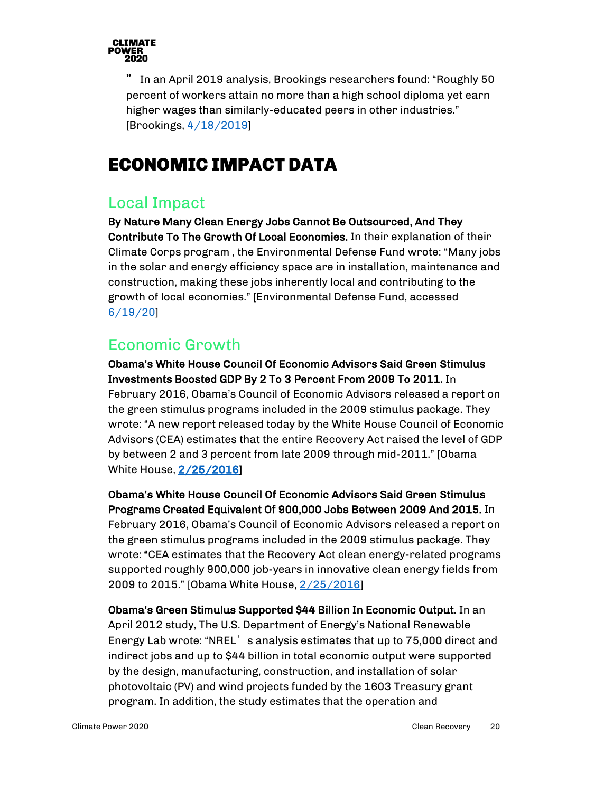

" In an April 2019 analysis, Brookings researchers found: "Roughly 50 percent of workers attain no more than a high school diploma yet earn higher wages than similarly-educated peers in other industries." [Brookings,  $4/18/2019$ ]

## <span id="page-19-0"></span>ECONOMIC IMPACT DATA

#### <span id="page-19-1"></span>Local Impact

By Nature Many Clean Energy Jobs Cannot Be Outsourced, And They Contribute To The Growth Of Local Economies. In their explanation of their Climate Corps program , the Environmental Defense Fund wrote: "Many jobs in the solar and energy efficiency space are in installation, maintenance and construction, making these jobs inherently local and contributing to the growth of local economies." [Environmental Defense Fund, accessed [6/19/20\]](http://edfclimatecorps.org/nowhiringreport)

#### <span id="page-19-2"></span>Economic Growth

Obama's White House Council Of Economic Advisors Said Green Stimulus Investments Boosted GDP By 2 To 3 Percent From 2009 To 2011. In February 2016, Obama's Council of Economic Advisors released a report on the green stimulus programs included in the 2009 stimulus package. They wrote: "A new report released today by the White House Council of Economic Advisors (CEA) estimates that the entire Recovery Act raised the level of GDP by between 2 and 3 percent from late 2009 through mid-2011." [Obama White House, [2/25/2016\]](https://obamawhitehouse.archives.gov/the-press-office/2016/02/25/fact-sheet-recovery-act-made-largest-single-investment-clean-energy)

Obama's White House Council Of Economic Advisors Said Green Stimulus Programs Created Equivalent Of 900,000 Jobs Between 2009 And 2015. In

February 2016, Obama's Council of Economic Advisors released a report on the green stimulus programs included in the 2009 stimulus package. They wrote: "CEA estimates that the Recovery Act clean energy-related programs supported roughly 900,000 job-years in innovative clean energy fields from 2009 to 2015." [Obama White House, [2/25/2016\]](https://obamawhitehouse.archives.gov/the-press-office/2016/02/25/fact-sheet-recovery-act-made-largest-single-investment-clean-energy)

Obama's Green Stimulus Supported \$44 Billion In Economic Output. In an April 2012 study, The U.S. Department of Energy's National Renewable Energy Lab wrote: "NREL's analysis estimates that up to 75,000 direct and indirect jobs and up to \$44 billion in total economic output were supported by the design, manufacturing, construction, and installation of solar photovoltaic (PV) and wind projects funded by the 1603 Treasury grant program. In addition, the study estimates that the operation and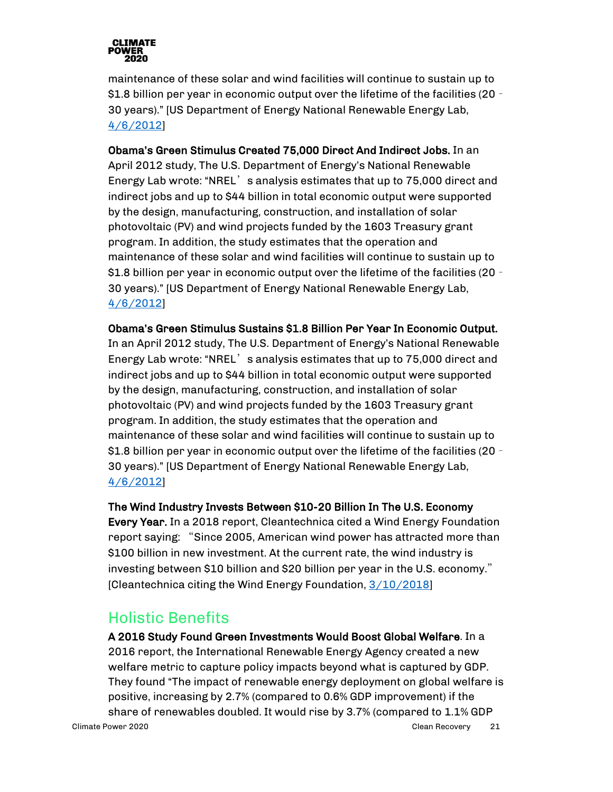

maintenance of these solar and wind facilities will continue to sustain up to \$1.8 billion per year in economic output over the lifetime of the facilities (20 – 30 years)." [US Department of Energy National Renewable Energy Lab, [4/6/2012\]](https://www.energy.gov/articles/nrel-report-highlights-positive-economic-impact-and-job-creation-1603-renewable-energy)

Obama's Green Stimulus Created 75,000 Direct And Indirect Jobs. In an April 2012 study, The U.S. Department of Energy's National Renewable Energy Lab wrote: "NREL's analysis estimates that up to 75,000 direct and indirect jobs and up to \$44 billion in total economic output were supported by the design, manufacturing, construction, and installation of solar photovoltaic (PV) and wind projects funded by the 1603 Treasury grant program. In addition, the study estimates that the operation and maintenance of these solar and wind facilities will continue to sustain up to \$1.8 billion per year in economic output over the lifetime of the facilities (20 – 30 years)." [US Department of Energy National Renewable Energy Lab, [4/6/2012\]](https://www.energy.gov/articles/nrel-report-highlights-positive-economic-impact-and-job-creation-1603-renewable-energy)

Obama's Green Stimulus Sustains \$1.8 Billion Per Year In Economic Output. In an April 2012 study, The U.S. Department of Energy's National Renewable Energy Lab wrote: "NREL' s analysis estimates that up to 75,000 direct and indirect jobs and up to \$44 billion in total economic output were supported by the design, manufacturing, construction, and installation of solar photovoltaic (PV) and wind projects funded by the 1603 Treasury grant program. In addition, the study estimates that the operation and maintenance of these solar and wind facilities will continue to sustain up to \$1.8 billion per year in economic output over the lifetime of the facilities (20 – 30 years)." [US Department of Energy National Renewable Energy Lab, [4/6/2012\]](https://www.energy.gov/articles/nrel-report-highlights-positive-economic-impact-and-job-creation-1603-renewable-energy)

The Wind Industry Invests Between \$10-20 Billion In The U.S. Economy Every Year. In a 2018 report, Cleantechnica cited a Wind Energy Foundation report saying: "Since 2005, American wind power has attracted more than \$100 billion in new investment. At the current rate, the wind industry is investing between \$10 billion and \$20 billion per year in the U.S. economy." [Cleantechnica citing the Wind Energy Foundation[, 3/10/2018\]](https://cleantechnica.com/2018/03/10/renewable-energy-economic-benefits-know/)

#### Holistic Benefits

<span id="page-20-0"></span>Climate Power 2020 Clean Recovery 21 A 2016 Study Found Green Investments Would Boost Global Welfare. In a 2016 report, the International Renewable Energy Agency created a new welfare metric to capture policy impacts beyond what is captured by GDP. They found "The impact of renewable energy deployment on global welfare is positive, increasing by 2.7% (compared to 0.6% GDP improvement) if the share of renewables doubled. It would rise by 3.7% (compared to 1.1% GDP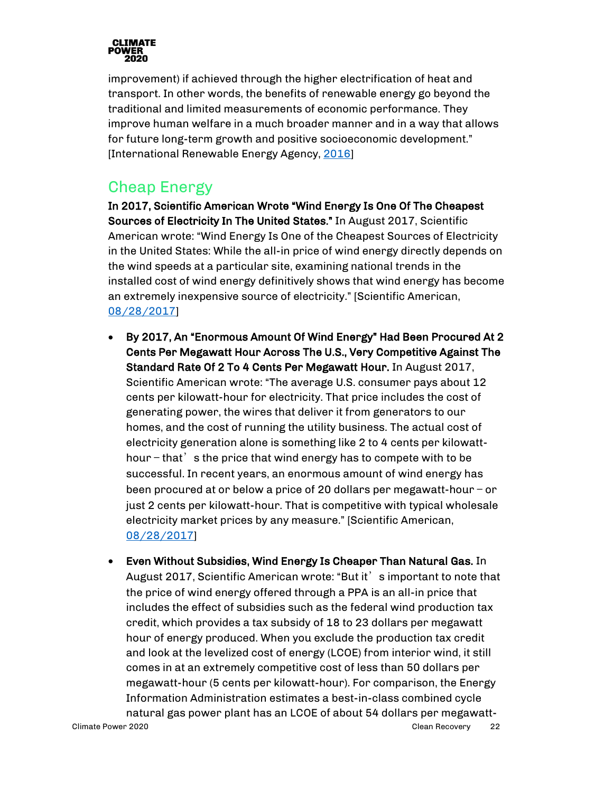

improvement) if achieved through the higher electrification of heat and transport. In other words, the benefits of renewable energy go beyond the traditional and limited measurements of economic performance. They improve human welfare in a much broader manner and in a way that allows for future long-term growth and positive socioeconomic development." [International Renewable Energy Agency, [2016\]](https://www.irena.org/documentdownloads/publications/irena_measuring-the-economics_2016.pdf)

#### <span id="page-21-0"></span>Cheap Energy

In 2017, Scientific American Wrote "Wind Energy Is One Of The Cheapest Sources of Electricity In The United States." In August 2017, Scientific American wrote: "Wind Energy Is One of the Cheapest Sources of Electricity in the United States: While the all-in price of wind energy directly depends on the wind speeds at a particular site, examining national trends in the installed cost of wind energy definitively shows that wind energy has become an extremely inexpensive source of electricity." [Scientific American, [08/28/2017\]](https://blogs.scientificamerican.com/plugged-in/wind-energy-is-one-of-the-cheapest-sources-of-electricity-and-its-getting-cheaper/)

- By 2017, An "Enormous Amount Of Wind Energy" Had Been Procured At 2 Cents Per Megawatt Hour Across The U.S., Very Competitive Against The Standard Rate Of 2 To 4 Cents Per Megawatt Hour. In August 2017, Scientific American wrote: "The average U.S. consumer pays about 12 cents per kilowatt-hour for electricity. That price includes the cost of generating power, the wires that deliver it from generators to our homes, and the cost of running the utility business. The actual cost of electricity generation alone is something like 2 to 4 cents per kilowatthour  $-$  that  $\dot{\phantom{\alpha}}$  s the price that wind energy has to compete with to be successful. In recent years, an enormous amount of wind energy has been procured at or below a price of 20 dollars per megawatt-hour — or just 2 cents per kilowatt-hour. That is competitive with typical wholesale electricity market prices by any measure." [Scientific American, [08/28/2017\]](https://blogs.scientificamerican.com/plugged-in/wind-energy-is-one-of-the-cheapest-sources-of-electricity-and-its-getting-cheaper/)
- Climate Power 2020 Clean Recovery 22 • Even Without Subsidies, Wind Energy Is Cheaper Than Natural Gas. In August 2017, Scientific American wrote: "But it' s important to note that the price of wind energy offered through a PPA is an all-in price that includes the effect of subsidies such as the federal wind production tax credit, which provides a tax subsidy of 18 to 23 dollars per megawatt hour of energy produced. When you exclude the production tax credit and look at the levelized cost of energy (LCOE) from interior wind, it still comes in at an extremely competitive cost of less than 50 dollars per megawatt-hour (5 cents per kilowatt-hour). For comparison, the Energy Information Administration estimates a best-in-class combined cycle natural gas power plant has an LCOE of about 54 dollars per megawatt-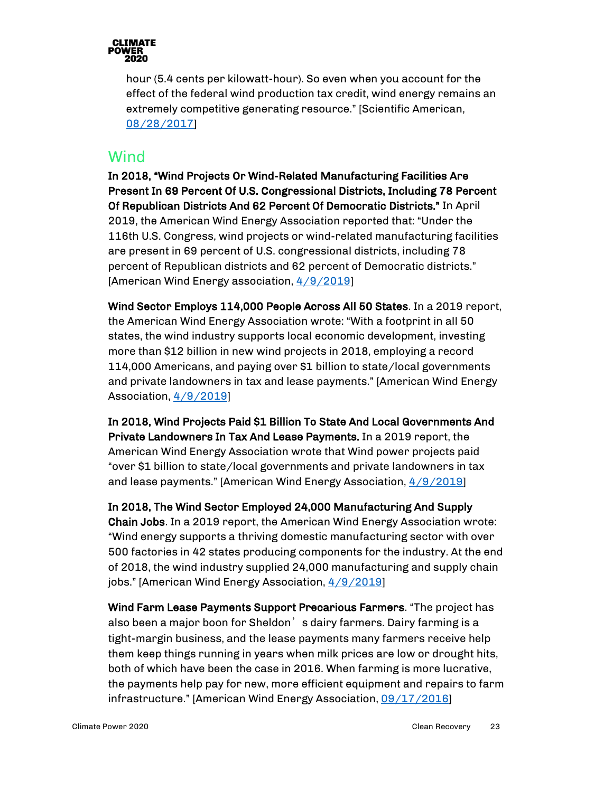

hour (5.4 cents per kilowatt-hour). So even when you account for the effect of the federal wind production tax credit, wind energy remains an extremely competitive generating resource." [Scientific American, [08/28/2017\]](https://blogs.scientificamerican.com/plugged-in/wind-energy-is-one-of-the-cheapest-sources-of-electricity-and-its-getting-cheaper/)

#### <span id="page-22-0"></span>**Wind**

In 2018, "Wind Projects Or Wind-Related Manufacturing Facilities Are Present In 69 Percent Of U.S. Congressional Districts, Including 78 Percent Of Republican Districts And 62 Percent Of Democratic Districts." In April 2019, the American Wind Energy Association reported that: "Under the 116th U.S. Congress, wind projects or wind-related manufacturing facilities are present in 69 percent of U.S. congressional districts, including 78 percent of Republican districts and 62 percent of Democratic districts." [American Wind Energy association, [4/9/2019\]](https://www.aweablog.org/awea-annual-market-report-top-11-wind-power-trends-2018/)

Wind Sector Employs 114,000 People Across All 50 States. In a 2019 report, the American Wind Energy Association wrote: "With a footprint in all 50 states, the wind industry supports local economic development, investing more than \$12 billion in new wind projects in 2018, employing a record 114,000 Americans, and paying over \$1 billion to state/local governments and private landowners in tax and lease payments." [American Wind Energy Association, [4/9/2019\]](https://www.aweablog.org/awea-annual-market-report-top-11-wind-power-trends-2018/)

In 2018, Wind Projects Paid \$1 Billion To State And Local Governments And Private Landowners In Tax And Lease Payments. In a 2019 report, the American Wind Energy Association wrote that Wind power projects paid "over \$1 billion to state/local governments and private landowners in tax and lease payments." [American Wind Energy Association, [4/9/2019\]](https://www.aweablog.org/awea-annual-market-report-top-11-wind-power-trends-2018/)

In 2018, The Wind Sector Employed 24,000 Manufacturing And Supply Chain Jobs. In a 2019 report, the American Wind Energy Association wrote: "Wind energy supports a thriving domestic manufacturing sector with over 500 factories in 42 states producing components for the industry. At the end of 2018, the wind industry supplied 24,000 manufacturing and supply chain jobs." [American Wind Energy Association[, 4/9/2019\]](https://www.aweablog.org/awea-annual-market-report-top-11-wind-power-trends-2018/)

Wind Farm Lease Payments Support Precarious Farmers. "The project has also been a major boon for Sheldon's dairy farmers. Dairy farming is a tight-margin business, and the lease payments many farmers receive help them keep things running in years when milk prices are low or drought hits, both of which have been the case in 2016. When farming is more lucrative, the payments help pay for new, more efficient equipment and repairs to farm infrastructure." [American Wind Energy Association, [09/17/2016\]](http://www.aweablog.org/wind-power-creates-town-no-taxes/)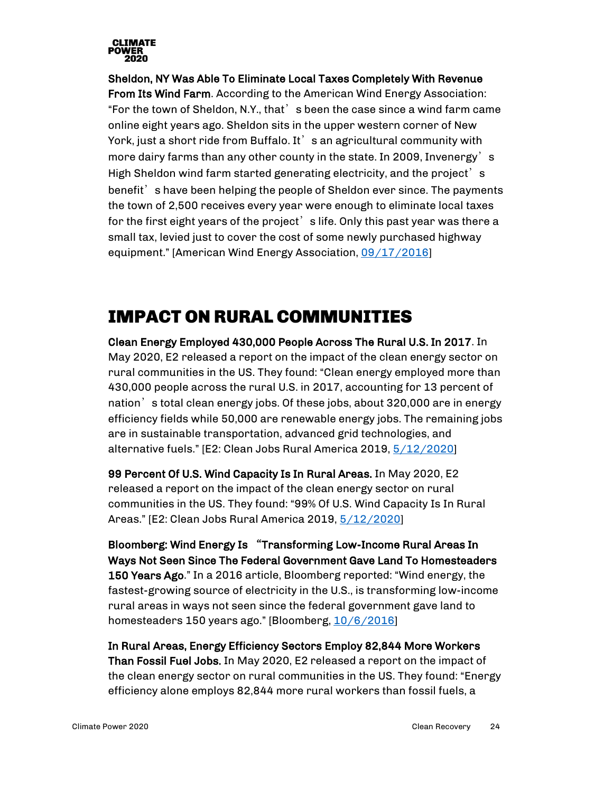

Sheldon, NY Was Able To Eliminate Local Taxes Completely With Revenue From Its Wind Farm. According to the American Wind Energy Association: "For the town of Sheldon, N.Y., that's been the case since a wind farm came online eight years ago. Sheldon sits in the upper western corner of New York, just a short ride from Buffalo. It's an agricultural community with more dairy farms than any other county in the state. In 2009, Invenergy's High Sheldon wind farm started generating electricity, and the project's benefit's have been helping the people of Sheldon ever since. The payments the town of 2,500 receives every year were enough to eliminate local taxes for the first eight years of the project's life. Only this past year was there a small tax, levied just to cover the cost of some newly purchased highway equipment." [American Wind Energy Association, [09/17/2016\]](http://www.aweablog.org/wind-power-creates-town-no-taxes/)

## <span id="page-23-0"></span>IMPACT ON RURAL COMMUNITIES

Clean Energy Employed 430,000 People Across The Rural U.S. In 2017. In May 2020, E2 released a report on the impact of the clean energy sector on rural communities in the US. They found: "Clean energy employed more than 430,000 people across the rural U.S. in 2017, accounting for 13 percent of nation's total clean energy jobs. Of these jobs, about 320,000 are in energy efficiency fields while 50,000 are renewable energy jobs. The remaining jobs are in sustainable transportation, advanced grid technologies, and alternative fuels." [E2: Clean Jobs Rural America 2019, [5/12/2020\]](https://e2.org/reports/clean-jobs-rural-america-2019/)

99 Percent Of U.S. Wind Capacity Is In Rural Areas. In May 2020, E2 released a report on the impact of the clean energy sector on rural communities in the US. They found: "99% Of U.S. Wind Capacity Is In Rural Areas." [E2: Clean Jobs Rural America 2019, [5/12/2020\]](https://e2.org/reports/clean-jobs-rural-america-2019/)

Bloomberg: Wind Energy Is "Transforming Low-Income Rural Areas In Ways Not Seen Since The Federal Government Gave Land To Homesteaders 150 Years Ago." In a 2016 article, Bloomberg reported: "Wind energy, the fastest-growing source of electricity in the U.S., is transforming low-income rural areas in ways not seen since the federal government gave land to homesteaders 150 years ago." [Bloomberg, [10/6/2016\]](https://www.bloomberg.com/news/articles/2016-10-06/wind-is-the-new-corn-for-struggling-farmers)

In Rural Areas, Energy Efficiency Sectors Employ 82,844 More Workers Than Fossil Fuel Jobs. In May 2020, E2 released a report on the impact of the clean energy sector on rural communities in the US. They found: "Energy efficiency alone employs 82,844 more rural workers than fossil fuels, a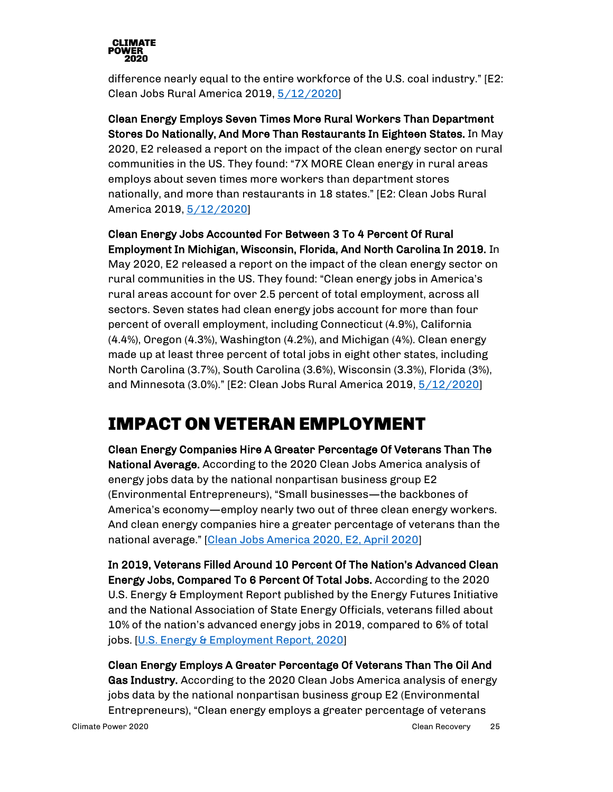

difference nearly equal to the entire workforce of the U.S. coal industry." [E2: Clean Jobs Rural America 2019, [5/12/2020\]](https://e2.org/reports/clean-jobs-rural-america-2019/)

Clean Energy Employs Seven Times More Rural Workers Than Department Stores Do Nationally, And More Than Restaurants In Eighteen States. In May 2020, E2 released a report on the impact of the clean energy sector on rural communities in the US. They found: "7X MORE Clean energy in rural areas employs about seven times more workers than department stores nationally, and more than restaurants in 18 states." [E2: Clean Jobs Rural America 2019[, 5/12/2020\]](https://e2.org/reports/clean-jobs-rural-america-2019/)

Clean Energy Jobs Accounted For Between 3 To 4 Percent Of Rural Employment In Michigan, Wisconsin, Florida, And North Carolina In 2019. In May 2020, E2 released a report on the impact of the clean energy sector on rural communities in the US. They found: "Clean energy jobs in America's rural areas account for over 2.5 percent of total employment, across all sectors. Seven states had clean energy jobs account for more than four percent of overall employment, including Connecticut (4.9%), California (4.4%), Oregon (4.3%), Washington (4.2%), and Michigan (4%). Clean energy made up at least three percent of total jobs in eight other states, including North Carolina (3.7%), South Carolina (3.6%), Wisconsin (3.3%), Florida (3%), and Minnesota (3.0%)." [E2: Clean Jobs Rural America 2019, [5/12/2020\]](https://e2.org/reports/clean-jobs-rural-america-2019/)

## <span id="page-24-0"></span>IMPACT ON VETERAN EMPLOYMENT

Clean Energy Companies Hire A Greater Percentage Of Veterans Than The National Average. According to the 2020 Clean Jobs America analysis of energy jobs data by the national nonpartisan business group E2 (Environmental Entrepreneurs), "Small businesses—the backbones of America's economy—employ nearly two out of three clean energy workers. And clean energy companies hire a greater percentage of veterans than the national average." [\[Clean Jobs America 2020, E2, April 2020\]](https://e2.org/wp-content/uploads/2020/04/E2-Clean-Jobs-America-2020.pdf)

In 2019, Veterans Filled Around 10 Percent Of The Nation's Advanced Clean Energy Jobs, Compared To 6 Percent Of Total Jobs. According to the 2020 U.S. Energy & Employment Report published by the Energy Futures Initiative and the National Association of State Energy Officials, veterans filled about 10% of the nation's advanced energy jobs in 2019, compared to 6% of total jobs. [\[U.S. Energy & Employment Report, 2020\]](https://static1.squarespace.com/static/5a98cf80ec4eb7c5cd928c61/t/5ee783fe8807d732d560fcdd/1592230915051/2020+USEER+EXEC+0615.pdf)

Clean Energy Employs A Greater Percentage Of Veterans Than The Oil And Gas Industry. According to the 2020 Clean Jobs America analysis of energy jobs data by the national nonpartisan business group E2 (Environmental Entrepreneurs), "Clean energy employs a greater percentage of veterans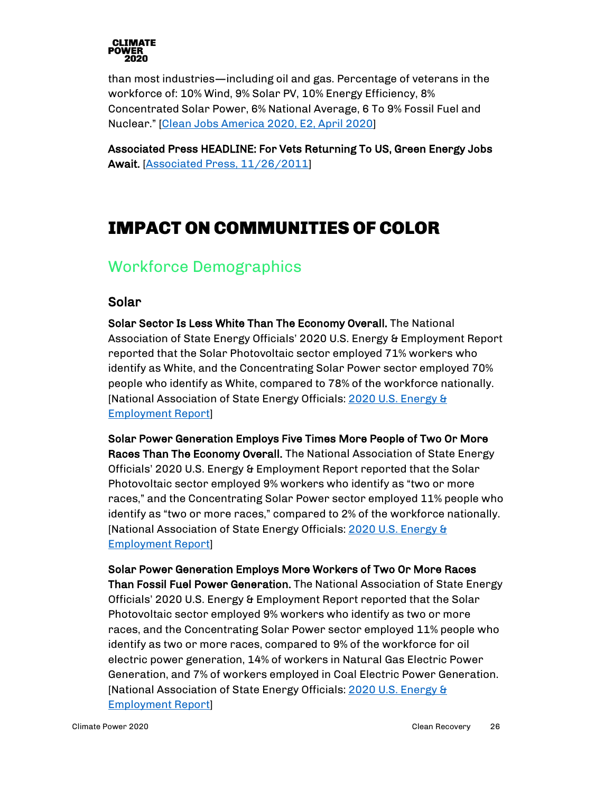

than most industries—including oil and gas. Percentage of veterans in the workforce of: 10% Wind, 9% Solar PV, 10% Energy Efficiency, 8% Concentrated Solar Power, 6% National Average, 6 To 9% Fossil Fuel and Nuclear." [\[Clean Jobs America 2020, E2, April 2020\]](https://e2.org/wp-content/uploads/2020/04/E2-Clean-Jobs-America-2020.pdf)

Associated Press HEADLINE: For Vets Returning To US, Green Energy Jobs Await. [\[Associated Press, 11/26/2011\]](https://www.military.com/veteran-jobs/career-advice/job-hunting/green-energy-jobs-for-veterans.html)

## <span id="page-25-0"></span>IMPACT ON COMMUNITIES OF COLOR

#### <span id="page-25-1"></span>Workforce Demographics

#### Solar

Solar Sector Is Less White Than The Economy Overall. The National Association of State Energy Officials' 2020 U.S. Energy & Employment Report reported that the Solar Photovoltaic sector employed 71% workers who identify as White, and the Concentrating Solar Power sector employed 70% people who identify as White, compared to 78% of the workforce nationally. [National Association of State Energy Officials: [2020 U.S.](https://static1.squarespace.com/static/5a98cf80ec4eb7c5cd928c61/t/5ee783fe8807d732d560fcdd/1592230915051/2020+USEER+EXEC+0615.pdf) Energy & [Employment Report\]](https://static1.squarespace.com/static/5a98cf80ec4eb7c5cd928c61/t/5ee783fe8807d732d560fcdd/1592230915051/2020+USEER+EXEC+0615.pdf)

Solar Power Generation Employs Five Times More People of Two Or More Races Than The Economy Overall. The National Association of State Energy Officials' 2020 U.S. Energy & Employment Report reported that the Solar Photovoltaic sector employed 9% workers who identify as "two or more races," and the Concentrating Solar Power sector employed 11% people who identify as "two or more races," compared to 2% of the workforce nationally. [National Association of State Energy Officials: [2020 U.S. Energy &](https://static1.squarespace.com/static/5a98cf80ec4eb7c5cd928c61/t/5ee783fe8807d732d560fcdd/1592230915051/2020+USEER+EXEC+0615.pdf)  [Employment Report\]](https://static1.squarespace.com/static/5a98cf80ec4eb7c5cd928c61/t/5ee783fe8807d732d560fcdd/1592230915051/2020+USEER+EXEC+0615.pdf)

Solar Power Generation Employs More Workers of Two Or More Races Than Fossil Fuel Power Generation. The National Association of State Energy Officials' 2020 U.S. Energy & Employment Report reported that the Solar Photovoltaic sector employed 9% workers who identify as two or more races, and the Concentrating Solar Power sector employed 11% people who identify as two or more races, compared to 9% of the workforce for oil electric power generation, 14% of workers in Natural Gas Electric Power Generation, and 7% of workers employed in Coal Electric Power Generation. [National Association of State Energy Officials: [2020 U.S. Energy &](https://static1.squarespace.com/static/5a98cf80ec4eb7c5cd928c61/t/5ee783fe8807d732d560fcdd/1592230915051/2020+USEER+EXEC+0615.pdf)  [Employment Report\]](https://static1.squarespace.com/static/5a98cf80ec4eb7c5cd928c61/t/5ee783fe8807d732d560fcdd/1592230915051/2020+USEER+EXEC+0615.pdf)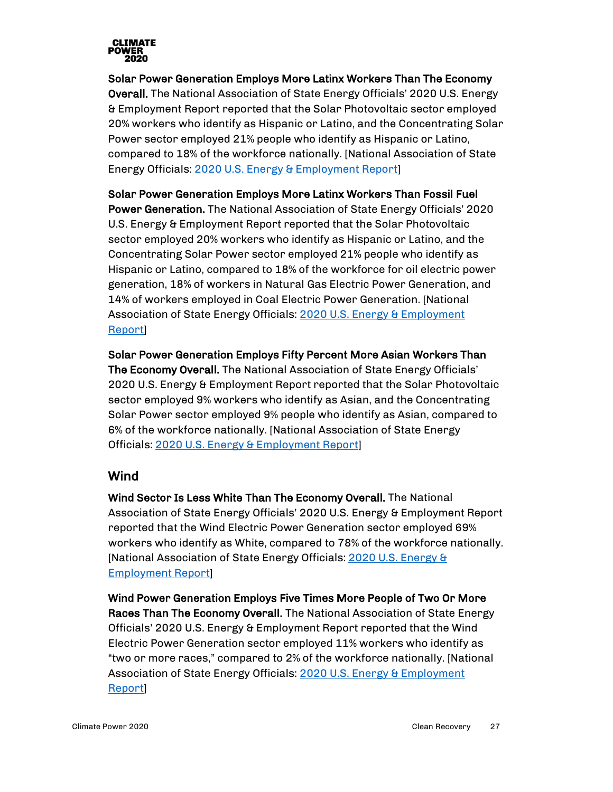

Solar Power Generation Employs More Latinx Workers Than The Economy Overall. The National Association of State Energy Officials' 2020 U.S. Energy & Employment Report reported that the Solar Photovoltaic sector employed 20% workers who identify as Hispanic or Latino, and the Concentrating Solar Power sector employed 21% people who identify as Hispanic or Latino, compared to 18% of the workforce nationally. [National Association of State Energy Officials: [2020 U.S. Energy & Employment Report\]](https://static1.squarespace.com/static/5a98cf80ec4eb7c5cd928c61/t/5ee783fe8807d732d560fcdd/1592230915051/2020+USEER+EXEC+0615.pdf)

Solar Power Generation Employs More Latinx Workers Than Fossil Fuel

Power Generation. The National Association of State Energy Officials' 2020 U.S. Energy & Employment Report reported that the Solar Photovoltaic sector employed 20% workers who identify as Hispanic or Latino, and the Concentrating Solar Power sector employed 21% people who identify as Hispanic or Latino, compared to 18% of the workforce for oil electric power generation, 18% of workers in Natural Gas Electric Power Generation, and 14% of workers employed in Coal Electric Power Generation. [National Association of State Energy Officials: [2020 U.S. Energy & Employment](https://static1.squarespace.com/static/5a98cf80ec4eb7c5cd928c61/t/5ee783fe8807d732d560fcdd/1592230915051/2020+USEER+EXEC+0615.pdf)  [Report\]](https://static1.squarespace.com/static/5a98cf80ec4eb7c5cd928c61/t/5ee783fe8807d732d560fcdd/1592230915051/2020+USEER+EXEC+0615.pdf)

Solar Power Generation Employs Fifty Percent More Asian Workers Than The Economy Overall. The National Association of State Energy Officials' 2020 U.S. Energy & Employment Report reported that the Solar Photovoltaic sector employed 9% workers who identify as Asian, and the Concentrating Solar Power sector employed 9% people who identify as Asian, compared to 6% of the workforce nationally. [National Association of State Energy Officials: [2020 U.S. Energy & Employment Report\]](https://static1.squarespace.com/static/5a98cf80ec4eb7c5cd928c61/t/5ee783fe8807d732d560fcdd/1592230915051/2020+USEER+EXEC+0615.pdf)

#### Wind

Wind Sector Is Less White Than The Economy Overall. The National Association of State Energy Officials' 2020 U.S. Energy & Employment Report reported that the Wind Electric Power Generation sector employed 69% workers who identify as White, compared to 78% of the workforce nationally. [National Association of State Energy Officials: [2020 U.S. Energy &](https://static1.squarespace.com/static/5a98cf80ec4eb7c5cd928c61/t/5ee783fe8807d732d560fcdd/1592230915051/2020+USEER+EXEC+0615.pdf)  [Employment Report\]](https://static1.squarespace.com/static/5a98cf80ec4eb7c5cd928c61/t/5ee783fe8807d732d560fcdd/1592230915051/2020+USEER+EXEC+0615.pdf)

Wind Power Generation Employs Five Times More People of Two Or More Races Than The Economy Overall. The National Association of State Energy Officials' 2020 U.S. Energy & Employment Report reported that the Wind Electric Power Generation sector employed 11% workers who identify as "two or more races," compared to 2% of the workforce nationally. [National Association of State Energy Officials: 2020 U.S. Energy & Employment [Report\]](https://static1.squarespace.com/static/5a98cf80ec4eb7c5cd928c61/t/5ee783fe8807d732d560fcdd/1592230915051/2020+USEER+EXEC+0615.pdf)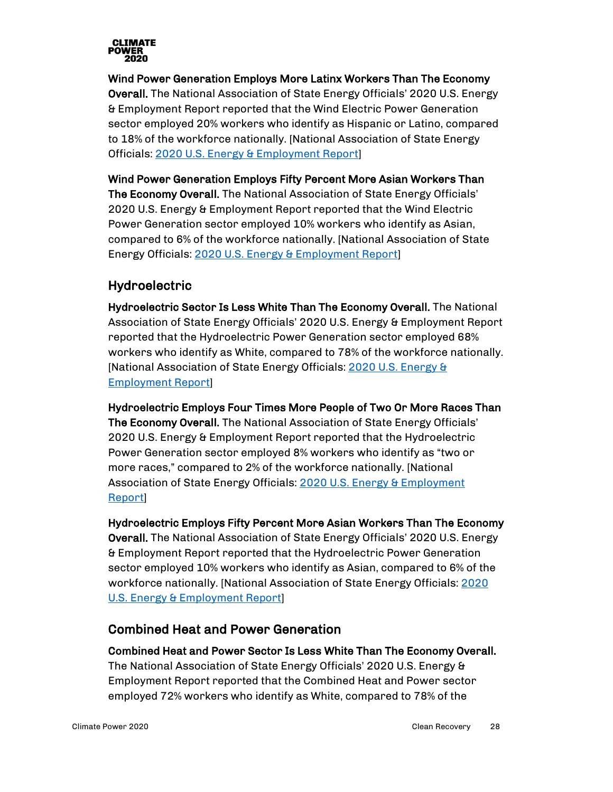

Wind Power Generation Employs More Latinx Workers Than The Economy Overall. The National Association of State Energy Officials' 2020 U.S. Energy & Employment Report reported that the Wind Electric Power Generation sector employed 20% workers who identify as Hispanic or Latino, compared to 18% of the workforce nationally. [National Association of State Energy Officials: [2020 U.S. Energy & Employment Report\]](https://static1.squarespace.com/static/5a98cf80ec4eb7c5cd928c61/t/5ee783fe8807d732d560fcdd/1592230915051/2020+USEER+EXEC+0615.pdf)

Wind Power Generation Employs Fifty Percent More Asian Workers Than The Economy Overall. The National Association of State Energy Officials' 2020 U.S. Energy & Employment Report reported that the Wind Electric Power Generation sector employed 10% workers who identify as Asian, compared to 6% of the workforce nationally. [National Association of State Energy Officials: [2020 U.S. Energy & Employment Report\]](https://static1.squarespace.com/static/5a98cf80ec4eb7c5cd928c61/t/5ee783fe8807d732d560fcdd/1592230915051/2020+USEER+EXEC+0615.pdf)

#### Hydroelectric

Hydroelectric Sector Is Less White Than The Economy Overall. The National Association of State Energy Officials' 2020 U.S. Energy & Employment Report reported that the Hydroelectric Power Generation sector employed 68% workers who identify as White, compared to 78% of the workforce nationally. [National Association of State Energy Officials: [2020 U.S. Energy &](https://static1.squarespace.com/static/5a98cf80ec4eb7c5cd928c61/t/5ee783fe8807d732d560fcdd/1592230915051/2020+USEER+EXEC+0615.pdf)  [Employment Report\]](https://static1.squarespace.com/static/5a98cf80ec4eb7c5cd928c61/t/5ee783fe8807d732d560fcdd/1592230915051/2020+USEER+EXEC+0615.pdf)

Hydroelectric Employs Four Times More People of Two Or More Races Than The Economy Overall. The National Association of State Energy Officials' 2020 U.S. Energy & Employment Report reported that the Hydroelectric Power Generation sector employed 8% workers who identify as "two or more races," compared to 2% of the workforce nationally. [National Association of State Energy Officials: 2020 U.S. Energy & Employment [Report\]](https://static1.squarespace.com/static/5a98cf80ec4eb7c5cd928c61/t/5ee783fe8807d732d560fcdd/1592230915051/2020+USEER+EXEC+0615.pdf)

Hydroelectric Employs Fifty Percent More Asian Workers Than The Economy Overall. The National Association of State Energy Officials' 2020 U.S. Energy & Employment Report reported that the Hydroelectric Power Generation sector employed 10% workers who identify as Asian, compared to 6% of the workforce nationally. [National Association of State Energy Officials: [2020](https://static1.squarespace.com/static/5a98cf80ec4eb7c5cd928c61/t/5ee783fe8807d732d560fcdd/1592230915051/2020+USEER+EXEC+0615.pdf)  [U.S. Energy & Employment Report\]](https://static1.squarespace.com/static/5a98cf80ec4eb7c5cd928c61/t/5ee783fe8807d732d560fcdd/1592230915051/2020+USEER+EXEC+0615.pdf)

#### Combined Heat and Power Generation

Combined Heat and Power Sector Is Less White Than The Economy Overall. The National Association of State Energy Officials' 2020 U.S. Energy & Employment Report reported that the Combined Heat and Power sector employed 72% workers who identify as White, compared to 78% of the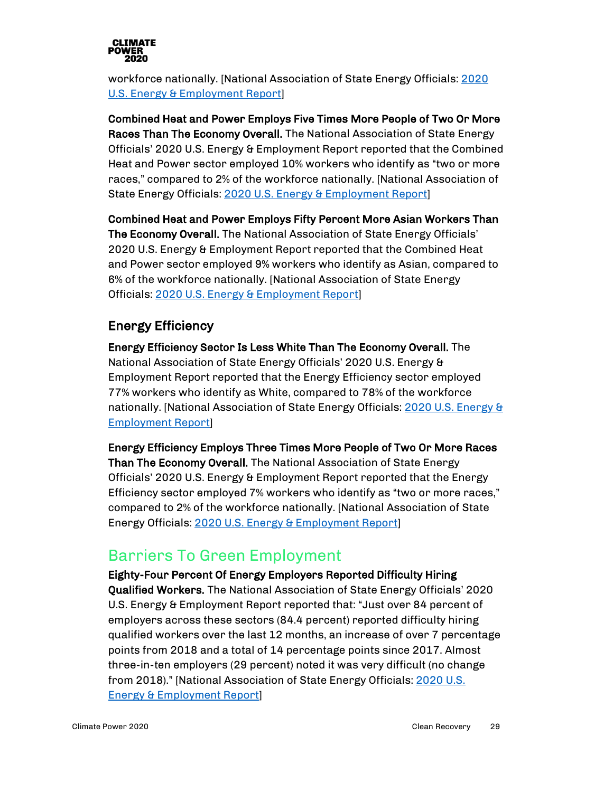

workforce nationally. [National Association of State Energy Officials: [2020](https://static1.squarespace.com/static/5a98cf80ec4eb7c5cd928c61/t/5ee783fe8807d732d560fcdd/1592230915051/2020+USEER+EXEC+0615.pdf)  [U.S. Energy & Employment Report\]](https://static1.squarespace.com/static/5a98cf80ec4eb7c5cd928c61/t/5ee783fe8807d732d560fcdd/1592230915051/2020+USEER+EXEC+0615.pdf)

Combined Heat and Power Employs Five Times More People of Two Or More Races Than The Economy Overall. The National Association of State Energy Officials' 2020 U.S. Energy & Employment Report reported that the Combined Heat and Power sector employed 10% workers who identify as "two or more races," compared to 2% of the workforce nationally. [National Association of State Energy Officials: [2020 U.S. Energy & Employment Report\]](https://static1.squarespace.com/static/5a98cf80ec4eb7c5cd928c61/t/5ee783fe8807d732d560fcdd/1592230915051/2020+USEER+EXEC+0615.pdf)

Combined Heat and Power Employs Fifty Percent More Asian Workers Than The Economy Overall. The National Association of State Energy Officials' 2020 U.S. Energy & Employment Report reported that the Combined Heat and Power sector employed 9% workers who identify as Asian, compared to 6% of the workforce nationally. [National Association of State Energy Officials: [2020 U.S. Energy & Employment Report\]](https://static1.squarespace.com/static/5a98cf80ec4eb7c5cd928c61/t/5ee783fe8807d732d560fcdd/1592230915051/2020+USEER+EXEC+0615.pdf)

#### Energy Efficiency

Energy Efficiency Sector Is Less White Than The Economy Overall. The National Association of State Energy Officials' 2020 U.S. Energy & Employment Report reported that the Energy Efficiency sector employed 77% workers who identify as White, compared to 78% of the workforce nationally. [National Association of State Energy Officials: 2020 U.S. Energy & [Employment Report\]](https://static1.squarespace.com/static/5a98cf80ec4eb7c5cd928c61/t/5ee783fe8807d732d560fcdd/1592230915051/2020+USEER+EXEC+0615.pdf)

Energy Efficiency Employs Three Times More People of Two Or More Races Than The Economy Overall. The National Association of State Energy Officials' 2020 U.S. Energy & Employment Report reported that the Energy Efficiency sector employed 7% workers who identify as "two or more races," compared to 2% of the workforce nationally. [National Association of State Energy Officials: [2020 U.S. Energy & Employment Report\]](https://static1.squarespace.com/static/5a98cf80ec4eb7c5cd928c61/t/5ee783fe8807d732d560fcdd/1592230915051/2020+USEER+EXEC+0615.pdf)

#### <span id="page-28-0"></span>Barriers To Green Employment

Eighty-Four Percent Of Energy Employers Reported Difficulty Hiring Qualified Workers. The National Association of State Energy Officials' 2020 U.S. Energy & Employment Report reported that: "Just over 84 percent of employers across these sectors (84.4 percent) reported difficulty hiring qualified workers over the last 12 months, an increase of over 7 percentage points from 2018 and a total of 14 percentage points since 2017. Almost three-in-ten employers (29 percent) noted it was very difficult (no change from 2018)." [National Association of State Energy Officials[: 2020 U.S.](https://static1.squarespace.com/static/5a98cf80ec4eb7c5cd928c61/t/5ee783fe8807d732d560fcdd/1592230915051/2020+USEER+EXEC+0615.pdf)  [Energy & Employment Report\]](https://static1.squarespace.com/static/5a98cf80ec4eb7c5cd928c61/t/5ee783fe8807d732d560fcdd/1592230915051/2020+USEER+EXEC+0615.pdf)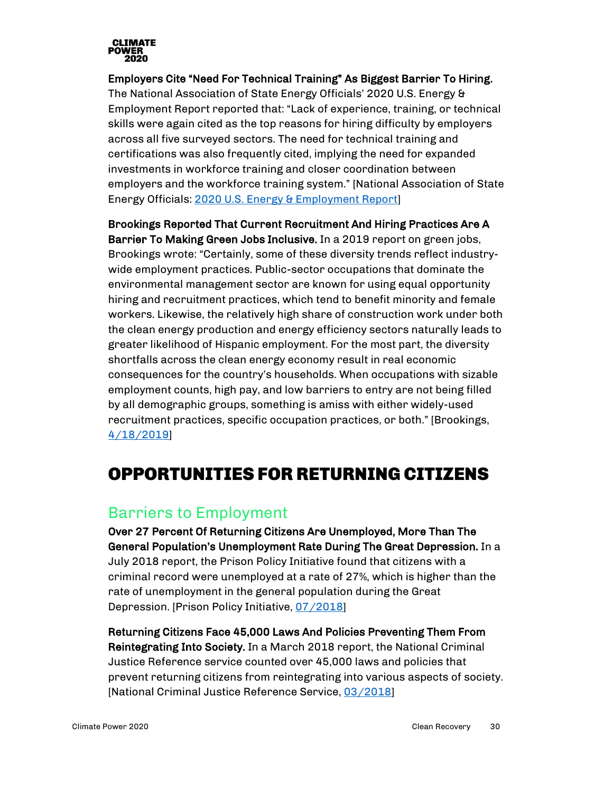

Employers Cite "Need For Technical Training" As Biggest Barrier To Hiring. The National Association of State Energy Officials' 2020 U.S. Energy & Employment Report reported that: "Lack of experience, training, or technical skills were again cited as the top reasons for hiring difficulty by employers across all five surveyed sectors. The need for technical training and certifications was also frequently cited, implying the need for expanded investments in workforce training and closer coordination between employers and the workforce training system." [National Association of State Energy Officials: [2020 U.S. Energy & Employment Report\]](https://static1.squarespace.com/static/5a98cf80ec4eb7c5cd928c61/t/5ee783fe8807d732d560fcdd/1592230915051/2020+USEER+EXEC+0615.pdf)

Brookings Reported That Current Recruitment And Hiring Practices Are A Barrier To Making Green Jobs Inclusive. In a 2019 report on green jobs, Brookings wrote: "Certainly, some of these diversity trends reflect industrywide employment practices. Public-sector occupations that dominate the environmental management sector are known for using equal opportunity hiring and recruitment practices, which tend to benefit minority and female workers. Likewise, the relatively high share of construction work under both the clean energy production and energy efficiency sectors naturally leads to greater likelihood of Hispanic employment. For the most part, the diversity shortfalls across the clean energy economy result in real economic consequences for the country's households. When occupations with sizable employment counts, high pay, and low barriers to entry are not being filled by all demographic groups, something is amiss with either widely-used recruitment practices, specific occupation practices, or both." [Brookings, [4/18/2019\]](https://www.brookings.edu/research/advancing-inclusion-through-clean-energy-jobs/)

## <span id="page-29-0"></span>OPPORTUNITIES FOR RETURNING CITIZENS

#### <span id="page-29-1"></span>Barriers to Employment

Over 27 Percent Of Returning Citizens Are Unemployed, More Than The General Population's Unemployment Rate During The Great Depression. In a July 2018 report, the Prison Policy Initiative found that citizens with a criminal record were unemployed at a rate of 27%, which is higher than the rate of unemployment in the general population during the Great Depression. [Prison Policy Initiative, [07/2018\]](https://www.prisonpolicy.org/reports/outofwork.html)

Returning Citizens Face 45,000 Laws And Policies Preventing Them From Reintegrating Into Society. In a March 2018 report, the National Criminal Justice Reference service counted over 45,000 laws and policies that prevent returning citizens from reintegrating into various aspects of society. [National Criminal Justice Reference Service[, 03/2018\]](https://www.ncjrs.gov/pdffiles1/nij/grants/251583.pdf)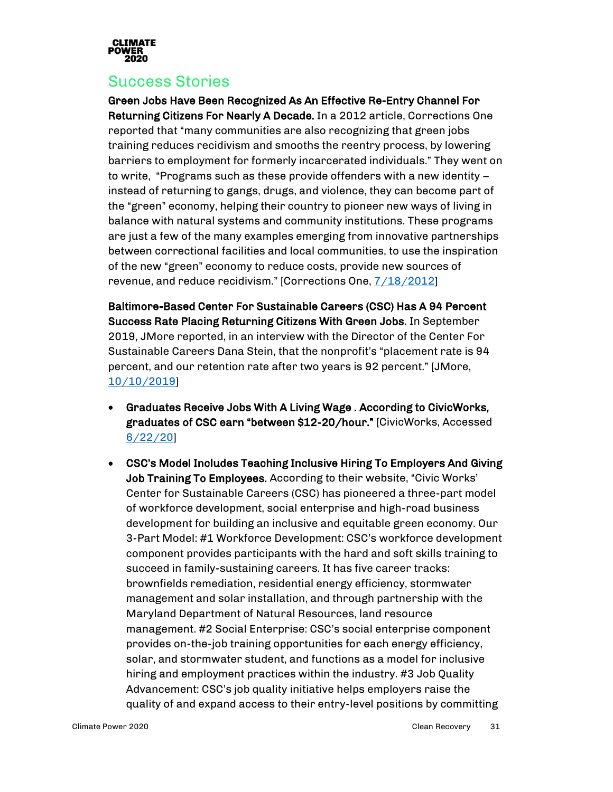

#### <span id="page-30-0"></span>Success Stories

Green Jobs Have Been Recognized As An Effective Re-Entry Channel For Returning Citizens For Nearly A Decade. In a 2012 article, Corrections One reported that "many communities are also recognizing that green jobs training reduces recidivism and smooths the reentry process, by lowering barriers to employment for formerly incarcerated individuals." They went on to write, "Programs such as these provide offenders with a new identity – instead of returning to gangs, drugs, and violence, they can become part of the "green" economy, helping their country to pioneer new ways of living in balance with natural systems and community institutions. These programs are just a few of the many examples emerging from innovative partnerships between correctional facilities and local communities, to use the inspiration of the new "green" economy to reduce costs, provide new sources of revenue, and reduce recidivism." [Corrections One[, 7/18/2012\]](https://www.correctionsone.com/jail-management/articles/green-jobs-training-smooths-reentry-process-UCmxJpfrTrV5Ae6d/)

Baltimore-Based Center For Sustainable Careers (CSC) Has A 94 Percent Success Rate Placing Returning Citizens With Green Jobs. In September 2019, JMore reported, in an interview with the Director of the Center For Sustainable Careers Dana Stein, that the nonprofit's "placement rate is 94 percent, and our retention rate after two years is 92 percent." [JMore, [10/10/2019\]](https://www.jmoreliving.com/2019/09/10/civic-works-celebrates-milestone-with-center-for-sustainable-careers/)

- Graduates Receive Jobs With A Living Wage . According to CivicWorks, graduates of CSC earn "between \$12-20/hour." [CivicWorks, Accessed [6/22/20\]](http://civicworks.com/programs/center-sustainable-careers/)
- CSC's Model Includes Teaching Inclusive Hiring To Employers And Giving Job Training To Employees. According to their website, "Civic Works' Center for Sustainable Careers (CSC) has pioneered a three-part model of workforce development, social enterprise and high-road business development for building an inclusive and equitable green economy. Our 3-Part Model: #1 Workforce Development: CSC's workforce development component provides participants with the hard and soft skills training to succeed in family-sustaining careers. It has five career tracks: brownfields remediation, residential energy efficiency, stormwater management and solar installation, and through partnership with the Maryland Department of Natural Resources, land resource management. #2 Social Enterprise: CSC's social enterprise component provides on-the-job training opportunities for each energy efficiency, solar, and stormwater student, and functions as a model for inclusive hiring and employment practices within the industry. #3 Job Quality Advancement: CSC's job quality initiative helps employers raise the quality of and expand access to their entry-level positions by committing